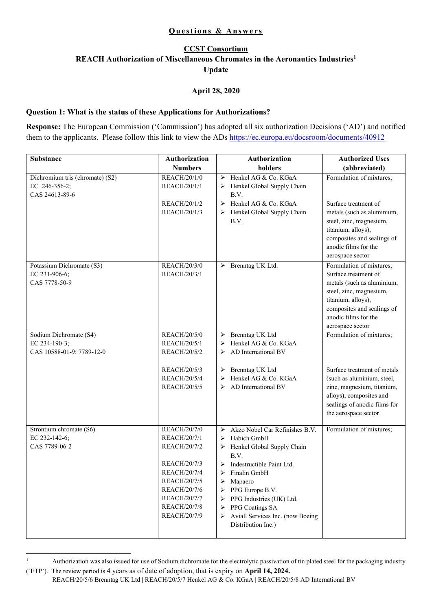# **CCST Consortium REACH Authorization of Miscellaneous Chromates in the Aeronautics Industries1 Update**

## **April 28, 2020**

#### **Question 1: What is the status of these Applications for Authorizations?**

**Response:** The European Commission ('Commission') has adopted all six authorization Decisions ('AD') and notified them to the applicants. Please follow this link to view the ADs https://ec.europa.eu/docsroom/documents/40912

| <b>Substance</b>                                                   | Authorization                                                | <b>Authorization</b>                                                                                                                         | <b>Authorized Uses</b>                                                                                                                                                                                    |
|--------------------------------------------------------------------|--------------------------------------------------------------|----------------------------------------------------------------------------------------------------------------------------------------------|-----------------------------------------------------------------------------------------------------------------------------------------------------------------------------------------------------------|
|                                                                    | <b>Numbers</b>                                               | holders                                                                                                                                      | (abbreviated)                                                                                                                                                                                             |
| Dichromium tris (chromate) (S2)<br>EC 246-356-2;<br>CAS 24613-89-6 | REACH/20/1/0<br>REACH/20/1/1<br>REACH/20/1/2<br>REACH/20/1/3 | Henkel AG & Co. KGaA<br>➤<br>Henkel Global Supply Chain<br>➤<br>B.V.<br>Henkel AG & Co. KGaA<br>➤<br>Henkel Global Supply Chain<br>➤<br>B.V. | Formulation of mixtures;<br>Surface treatment of<br>metals (such as aluminium,<br>steel, zinc, magnesium,<br>titanium, alloys),<br>composites and sealings of<br>anodic films for the<br>aerospace sector |
| Potassium Dichromate (S3)<br>EC 231-906-6;<br>CAS 7778-50-9        | REACH/20/3/0<br>REACH/20/3/1                                 | > Brenntag UK Ltd.                                                                                                                           | Formulation of mixtures;<br>Surface treatment of<br>metals (such as aluminium,<br>steel, zinc, magnesium,<br>titanium, alloys),<br>composites and sealings of<br>anodic films for the<br>aerospace sector |
| Sodium Dichromate (S4)                                             | <b>REACH/20/5/0</b>                                          | Brenntag UK Ltd<br>➤                                                                                                                         | Formulation of mixtures;                                                                                                                                                                                  |
| EC 234-190-3;                                                      | REACH/20/5/1                                                 | Henkel AG & Co. KGaA<br>➤                                                                                                                    |                                                                                                                                                                                                           |
| CAS 10588-01-9; 7789-12-0                                          | REACH/20/5/2<br>REACH/20/5/3<br>REACH/20/5/4<br>REACH/20/5/5 | AD International BV<br>➤<br>Brenntag UK Ltd<br>➤<br>Henkel AG & Co. KGaA<br>➤<br>AD International BV<br>⋗                                    | Surface treatment of metals<br>(such as aluminium, steel,<br>zinc, magnesium, titanium,<br>alloys), composites and<br>sealings of anodic films for<br>the aerospace sector                                |
| Strontium chromate (S6)                                            | <b>REACH/20/7/0</b>                                          | Akzo Nobel Car Refinishes B.V.<br>➤                                                                                                          | Formulation of mixtures;                                                                                                                                                                                  |
| EC 232-142-6;                                                      | REACH/20/7/1                                                 | Habich GmbH<br>➤                                                                                                                             |                                                                                                                                                                                                           |
| CAS 7789-06-2                                                      | REACH/20/7/2                                                 | Henkel Global Supply Chain<br>➤<br>B.V.                                                                                                      |                                                                                                                                                                                                           |
|                                                                    | REACH/20/7/3                                                 | Indestructible Paint Ltd.<br>➤                                                                                                               |                                                                                                                                                                                                           |
|                                                                    | <b>REACH/20/7/4</b>                                          | Finalin GmbH<br>⋗                                                                                                                            |                                                                                                                                                                                                           |
|                                                                    | REACH/20/7/5                                                 | ➤<br>Mapaero                                                                                                                                 |                                                                                                                                                                                                           |
|                                                                    | REACH/20/7/6<br>REACH/20/7/7                                 | PPG Europe B.V.<br>➤                                                                                                                         |                                                                                                                                                                                                           |
|                                                                    | REACH/20/7/8                                                 | PPG Industries (UK) Ltd.<br>$\blacktriangleright$                                                                                            |                                                                                                                                                                                                           |
|                                                                    | REACH/20/7/9                                                 | PPG Coatings SA<br>➤<br>Aviall Services Inc. (now Boeing<br>≻                                                                                |                                                                                                                                                                                                           |
|                                                                    |                                                              | Distribution Inc.)                                                                                                                           |                                                                                                                                                                                                           |

<sup>1</sup> Authorization was also issued for use of Sodium dichromate for the electrolytic passivation of tin plated steel for the packaging industry ('ETP'). The review period is 4 years as of date of adoption, that is expiry on **April 14, 2024.** 

1

REACH/20/5/6 Brenntag UK Ltd **|** REACH/20/5/7 Henkel AG & Co. KGaA **|** REACH/20/5/8 AD International BV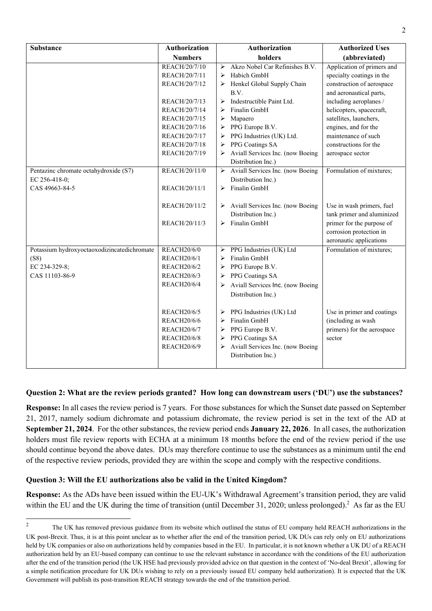| <b>Substance</b>                            | <b>Authorization</b> | <b>Authorization</b>                                        | <b>Authorized Uses</b>     |
|---------------------------------------------|----------------------|-------------------------------------------------------------|----------------------------|
|                                             | <b>Numbers</b>       | holders                                                     | (abbreviated)              |
|                                             | REACH/20/7/10        | Akzo Nobel Car Refinishes B.V.<br>➤                         | Application of primers and |
|                                             | REACH/20/7/11        | Habich GmbH<br>≻                                            | specialty coatings in the  |
|                                             | REACH/20/7/12        | Henkel Global Supply Chain<br>➤                             | construction of aerospace  |
|                                             |                      | B.V.                                                        | and aeronautical parts,    |
|                                             | REACH/20/7/13        | Indestructible Paint Ltd.<br>$\blacktriangleright$          | including aeroplanes /     |
|                                             | REACH/20/7/14        | Finalin GmbH                                                | helicopters, spacecraft,   |
|                                             | REACH/20/7/15        | ➤<br>Mapaero                                                | satellites, launchers,     |
|                                             | REACH/20/7/16        | PPG Europe B.V.<br>$\blacktriangleright$                    | engines, and for the       |
|                                             | REACH/20/7/17        | PPG Industries (UK) Ltd.<br>$\blacktriangleright$           | maintenance of such        |
|                                             | REACH/20/7/18        | PPG Coatings SA<br>➤                                        | constructions for the      |
|                                             | REACH/20/7/19        | Aviall Services Inc. (now Boeing<br>➤<br>Distribution Inc.) | aerospace sector           |
| Pentazinc chromate octahydroxide (S7)       | REACH/20/11/0        | > Aviall Services Inc. (now Boeing                          | Formulation of mixtures;   |
| EC 256-418-0;                               |                      | Distribution Inc.)                                          |                            |
| CAS 49663-84-5                              | REACH/20/11/1        | $\triangleright$ Finalin GmbH                               |                            |
|                                             |                      |                                                             |                            |
|                                             | REACH/20/11/2        | $\triangleright$ Aviall Services Inc. (now Boeing           | Use in wash primers, fuel  |
|                                             |                      | Distribution Inc.)                                          | tank primer and aluminized |
|                                             | REACH/20/11/3        | $\triangleright$ Finalin GmbH                               | primer for the purpose of  |
|                                             |                      |                                                             | corrosion protection in    |
|                                             |                      |                                                             | aeronautic applications    |
| Potassium hydroxyoctaoxodizincatedichromate | <b>REACH20/6/0</b>   | PPG Industries (UK) Ltd<br>➤                                | Formulation of mixtures;   |
| (S8)                                        | <b>REACH20/6/1</b>   | Finalin GmbH<br>➤                                           |                            |
| EC 234-329-8;                               | <b>REACH20/6/2</b>   | PPG Europe B.V.<br>➤                                        |                            |
| CAS 11103-86-9                              | REACH20/6/3          | PPG Coatings SA<br>➤                                        |                            |
|                                             | <b>REACH20/6/4</b>   | Aviall Services Inc. (now Boeing<br>$\blacktriangleright$   |                            |
|                                             |                      | Distribution Inc.)                                          |                            |
|                                             |                      |                                                             |                            |
|                                             | <b>REACH20/6/5</b>   | PPG Industries (UK) Ltd<br>➤                                | Use in primer and coatings |
|                                             | <b>REACH20/6/6</b>   | Finalin GmbH<br>➤                                           | (including as wash         |
|                                             | <b>REACH20/6/7</b>   | PPG Europe B.V.<br>$\blacktriangleright$                    | primers) for the aerospace |
|                                             | <b>REACH20/6/8</b>   | PPG Coatings SA<br>≻                                        | sector                     |
|                                             | <b>REACH20/6/9</b>   | Aviall Services Inc. (now Boeing<br>➤                       |                            |
|                                             |                      | Distribution Inc.)                                          |                            |
|                                             |                      |                                                             |                            |

### **Question 2: What are the review periods granted? How long can downstream users ('DU') use the substances?**

**Response:** In all cases the review period is 7 years. For those substances for which the Sunset date passed on September 21, 2017, namely sodium dichromate and potassium dichromate, the review period is set in the text of the AD at **September 21, 2024**. For the other substances, the review period ends **January 22, 2026**. In all cases, the authorization holders must file review reports with ECHA at a minimum 18 months before the end of the review period if the use should continue beyond the above dates. DUs may therefore continue to use the substances as a minimum until the end of the respective review periods, provided they are within the scope and comply with the respective conditions.

#### **Question 3: Will the EU authorizations also be valid in the United Kingdom?**

**Response:** As the ADs have been issued within the EU-UK's Withdrawal Agreement's transition period, they are valid within the EU and the UK during the time of transition (until December 31, 2020; unless prolonged).<sup>2</sup> As far as the EU

 $\overline{2}$ The UK has removed previous guidance from its website which outlined the status of EU company held REACH authorizations in the UK post-Brexit. Thus, it is at this point unclear as to whether after the end of the transition period, UK DUs can rely only on EU authorizations held by UK companies or also on authorizations held by companies based in the EU. In particular, it is not known whether a UK DU of a REACH authorization held by an EU-based company can continue to use the relevant substance in accordance with the conditions of the EU authorization after the end of the transition period (the UK HSE had previously provided advice on that question in the context of 'No-deal Brexit', allowing for a simple notification procedure for UK DUs wishing to rely on a previously issued EU company held authorization). It is expected that the UK Government will publish its post-transition REACH strategy towards the end of the transition period.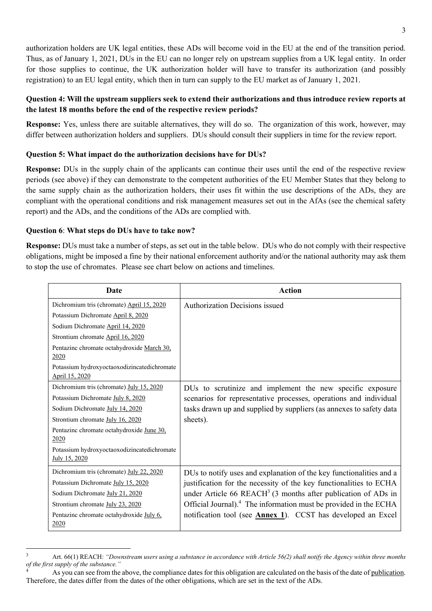authorization holders are UK legal entities, these ADs will become void in the EU at the end of the transition period. Thus, as of January 1, 2021, DUs in the EU can no longer rely on upstream supplies from a UK legal entity. In order for those supplies to continue, the UK authorization holder will have to transfer its authorization (and possibly registration) to an EU legal entity, which then in turn can supply to the EU market as of January 1, 2021.

### **Question 4: Will the upstream suppliers seek to extend their authorizations and thus introduce review reports at the latest 18 months before the end of the respective review periods?**

**Response:** Yes, unless there are suitable alternatives, they will do so. The organization of this work, however, may differ between authorization holders and suppliers. DUs should consult their suppliers in time for the review report.

### **Question 5: What impact do the authorization decisions have for DUs?**

**Response:** DUs in the supply chain of the applicants can continue their uses until the end of the respective review periods (see above) if they can demonstrate to the competent authorities of the EU Member States that they belong to the same supply chain as the authorization holders, their uses fit within the use descriptions of the ADs, they are compliant with the operational conditions and risk management measures set out in the AfAs (see the chemical safety report) and the ADs, and the conditions of the ADs are complied with.

### **Question 6**: **What steps do DUs have to take now?**

-

**Response:** DUs must take a number of steps, as set out in the table below. DUs who do not comply with their respective obligations, might be imposed a fine by their national enforcement authority and/or the national authority may ask them to stop the use of chromates. Please see chart below on actions and timelines.

| Date                                                          | <b>Action</b>                                                                |
|---------------------------------------------------------------|------------------------------------------------------------------------------|
| Dichromium tris (chromate) April 15, 2020                     | Authorization Decisions issued                                               |
| Potassium Dichromate April 8, 2020                            |                                                                              |
| Sodium Dichromate April 14, 2020                              |                                                                              |
| Strontium chromate April 16, 2020                             |                                                                              |
| Pentazinc chromate octahydroxide March 30,<br>2020            |                                                                              |
| Potassium hydroxyoctaoxodizincatedichromate<br>April 15, 2020 |                                                                              |
| Dichromium tris (chromate) July 15, 2020                      | DUs to scrutinize and implement the new specific exposure                    |
| Potassium Dichromate July 8, 2020                             | scenarios for representative processes, operations and individual            |
| Sodium Dichromate July 14, 2020                               | tasks drawn up and supplied by suppliers (as annexes to safety data          |
| Strontium chromate July 16, 2020                              | sheets).                                                                     |
| Pentazinc chromate octahydroxide June 30,<br>2020             |                                                                              |
| Potassium hydroxyoctaoxodizincatedichromate<br>July 15, 2020  |                                                                              |
| Dichromium tris (chromate) July 22, 2020                      | DUs to notify uses and explanation of the key functionalities and a          |
| Potassium Dichromate July 15, 2020                            | justification for the necessity of the key functionalities to ECHA           |
| Sodium Dichromate July 21, 2020                               | under Article 66 REACH <sup>3</sup> (3 months after publication of ADs in    |
| Strontium chromate July 23, 2020                              | Official Journal). <sup>4</sup> The information must be provided in the ECHA |
| Pentazinc chromate octahydroxide July 6,<br>2020              | notification tool (see <b>Annex 1</b> ). CCST has developed an Excel         |

<sup>3</sup> Art. 66(1) REACH: *"Downstream users using a substance in accordance with Article 56(2) shall notify the Agency within three months of the first supply of the substance."*

<sup>4</sup> As you can see from the above, the compliance dates for this obligation are calculated on the basis of the date of publication. Therefore, the dates differ from the dates of the other obligations, which are set in the text of the ADs.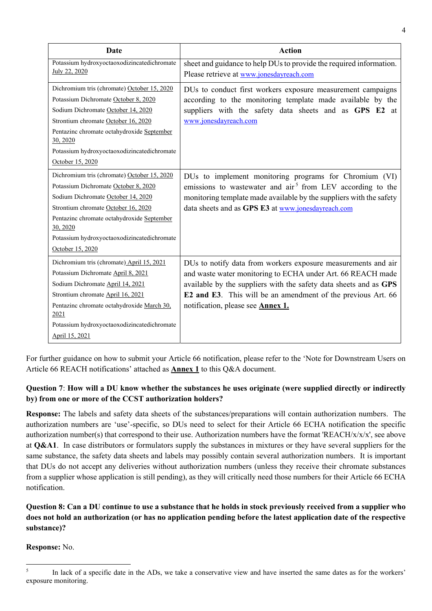| Date                                               | <b>Action</b>                                                          |
|----------------------------------------------------|------------------------------------------------------------------------|
| Potassium hydroxyoctaoxodizincatedichromate        | sheet and guidance to help DUs to provide the required information.    |
| July 22, 2020                                      | Please retrieve at www.jonesdayreach.com                               |
| Dichromium tris (chromate) October 15, 2020        | DUs to conduct first workers exposure measurement campaigns            |
| Potassium Dichromate October 8, 2020               | according to the monitoring template made available by the             |
| Sodium Dichromate October 14, 2020                 | suppliers with the safety data sheets and as GPS E2 at                 |
| Strontium chromate October 16, 2020                | www.jonesdayreach.com                                                  |
| Pentazinc chromate octahydroxide September         |                                                                        |
| 30, 2020                                           |                                                                        |
| Potassium hydroxyoctaoxodizincatedichromate        |                                                                        |
| October 15, 2020                                   |                                                                        |
| Dichromium tris (chromate) October 15, 2020        | DUs to implement monitoring programs for Chromium (VI)                 |
| Potassium Dichromate October 8, 2020               | emissions to wastewater and air <sup>5</sup> from LEV according to the |
| Sodium Dichromate October 14, 2020                 | monitoring template made available by the suppliers with the safety    |
| Strontium chromate October 16, 2020                | data sheets and as GPS E3 at www.jonesdayreach.com                     |
| Pentazinc chromate octahydroxide September         |                                                                        |
| 30, 2020                                           |                                                                        |
| Potassium hydroxyoctaoxodizincatedichromate        |                                                                        |
| October 15, 2020                                   |                                                                        |
| Dichromium tris (chromate) April 15, 2021          | DUs to notify data from workers exposure measurements and air          |
| Potassium Dichromate April 8, 2021                 | and waste water monitoring to ECHA under Art. 66 REACH made            |
| Sodium Dichromate April 14, 2021                   | available by the suppliers with the safety data sheets and as GPS      |
| Strontium chromate April 16, 2021                  | E2 and E3. This will be an amendment of the previous Art. 66           |
| Pentazinc chromate octahydroxide March 30,<br>2021 | notification, please see <b>Annex 1.</b>                               |
| Potassium hydroxyoctaoxodizincatedichromate        |                                                                        |
| April 15, 2021                                     |                                                                        |

For further guidance on how to submit your Article 66 notification, please refer to the 'Note for Downstream Users on Article 66 REACH notifications' attached as **Annex 1** to this Q&A document.

# **Question 7**: **How will a DU know whether the substances he uses originate (were supplied directly or indirectly by) from one or more of the CCST authorization holders?**

**Response:** The labels and safety data sheets of the substances/preparations will contain authorization numbers. The authorization numbers are 'use'-specific, so DUs need to select for their Article 66 ECHA notification the specific authorization number(s) that correspond to their use. Authorization numbers have the format 'REACH/x/x/x', see above at **Q&A1**. In case distributors or formulators supply the substances in mixtures or they have several suppliers for the same substance, the safety data sheets and labels may possibly contain several authorization numbers. It is important that DUs do not accept any deliveries without authorization numbers (unless they receive their chromate substances from a supplier whose application is still pending), as they will critically need those numbers for their Article 66 ECHA notification.

# **Question 8: Can a DU continue to use a substance that he holds in stock previously received from a supplier who does not hold an authorization (or has no application pending before the latest application date of the respective substance)?**

**Response:** No.

 $\frac{1}{5}$  In lack of a specific date in the ADs, we take a conservative view and have inserted the same dates as for the workers' exposure monitoring.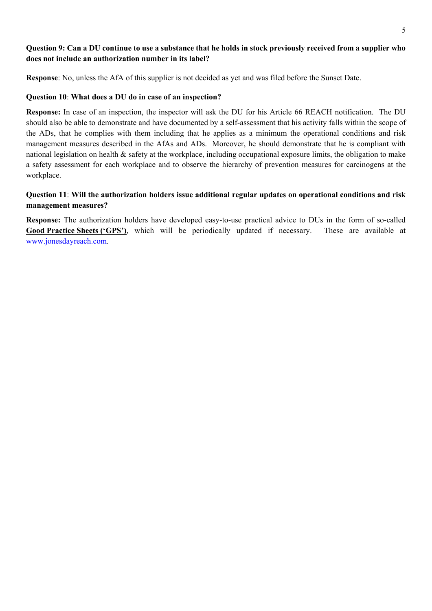## **Question 9: Can a DU continue to use a substance that he holds in stock previously received from a supplier who does not include an authorization number in its label?**

**Response**: No, unless the AfA of this supplier is not decided as yet and was filed before the Sunset Date.

#### **Question 10**: **What does a DU do in case of an inspection?**

**Response:** In case of an inspection, the inspector will ask the DU for his Article 66 REACH notification. The DU should also be able to demonstrate and have documented by a self-assessment that his activity falls within the scope of the ADs, that he complies with them including that he applies as a minimum the operational conditions and risk management measures described in the AfAs and ADs. Moreover, he should demonstrate that he is compliant with national legislation on health & safety at the workplace, including occupational exposure limits, the obligation to make a safety assessment for each workplace and to observe the hierarchy of prevention measures for carcinogens at the workplace.

# **Question 11**: **Will the authorization holders issue additional regular updates on operational conditions and risk management measures?**

**Response:** The authorization holders have developed easy-to-use practical advice to DUs in the form of so-called **Good Practice Sheets ('GPS')**, which will be periodically updated if necessary. These are available at www.jonesdayreach.com.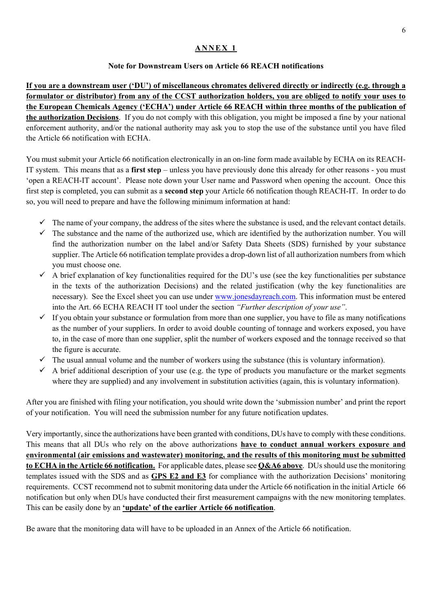### **ANNEX 1**

## **Note for Downstream Users on Article 66 REACH notifications**

**If you are a downstream user ('DU') of miscellaneous chromates delivered directly or indirectly (e.g. through a formulator or distributor) from any of the CCST authorization holders, you are obliged to notify your uses to the European Chemicals Agency ('ECHA') under Article 66 REACH within three months of the publication of the authorization Decisions**. If you do not comply with this obligation, you might be imposed a fine by your national enforcement authority, and/or the national authority may ask you to stop the use of the substance until you have filed the Article 66 notification with ECHA.

You must submit your Article 66 notification electronically in an on-line form made available by ECHA on its REACH-IT system. This means that as a **first step** – unless you have previously done this already for other reasons - you must 'open a REACH-IT account'. Please note down your User name and Password when opening the account. Once this first step is completed, you can submit as a **second step** your Article 66 notification though REACH-IT. In order to do so, you will need to prepare and have the following minimum information at hand:

- $\checkmark$  The name of your company, the address of the sites where the substance is used, and the relevant contact details.
- $\checkmark$  The substance and the name of the authorized use, which are identified by the authorization number. You will find the authorization number on the label and/or Safety Data Sheets (SDS) furnished by your substance supplier. The Article 66 notification template provides a drop-down list of all authorization numbers from which you must choose one.
- $\checkmark$  A brief explanation of key functionalities required for the DU's use (see the key functionalities per substance in the texts of the authorization Decisions) and the related justification (why the key functionalities are necessary). See the Excel sheet you can use under www.jonesdayreach.com. This information must be entered into the Art. 66 ECHA REACH IT tool under the section *"Further description of your use"*.
- $\checkmark$  If you obtain your substance or formulation from more than one supplier, you have to file as many notifications as the number of your suppliers. In order to avoid double counting of tonnage and workers exposed, you have to, in the case of more than one supplier, split the number of workers exposed and the tonnage received so that the figure is accurate.
- $\checkmark$  The usual annual volume and the number of workers using the substance (this is voluntary information).
- $\checkmark$  A brief additional description of your use (e.g. the type of products you manufacture or the market segments where they are supplied) and any involvement in substitution activities (again, this is voluntary information).

After you are finished with filing your notification, you should write down the 'submission number' and print the report of your notification. You will need the submission number for any future notification updates.

Very importantly, since the authorizations have been granted with conditions, DUs have to comply with these conditions. This means that all DUs who rely on the above authorizations **have to conduct annual workers exposure and environmental (air emissions and wastewater) monitoring, and the results of this monitoring must be submitted to ECHA in the Article 66 notification.** For applicable dates, please see **Q&A6 above**. DUs should use the monitoring templates issued with the SDS and as **GPS E2 and E3** for compliance with the authorization Decisions' monitoring requirements. CCST recommend not to submit monitoring data under the Article 66 notification in the initial Article 66 notification but only when DUs have conducted their first measurement campaigns with the new monitoring templates. This can be easily done by an **'update' of the earlier Article 66 notification**.

Be aware that the monitoring data will have to be uploaded in an Annex of the Article 66 notification.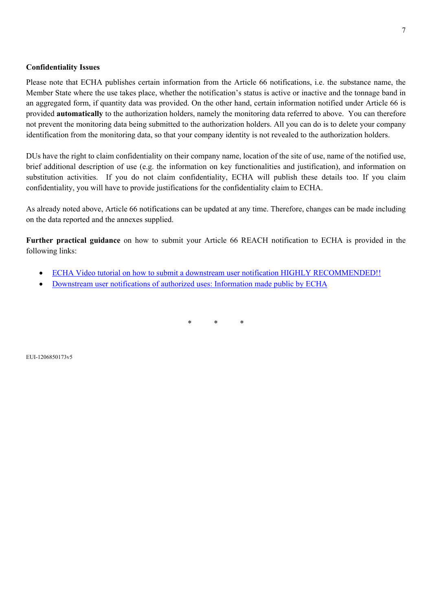#### **Confidentiality Issues**

Please note that ECHA publishes certain information from the Article 66 notifications, i.e. the substance name, the Member State where the use takes place, whether the notification's status is active or inactive and the tonnage band in an aggregated form, if quantity data was provided. On the other hand, certain information notified under Article 66 is provided **automatically** to the authorization holders, namely the monitoring data referred to above. You can therefore not prevent the monitoring data being submitted to the authorization holders. All you can do is to delete your company identification from the monitoring data, so that your company identity is not revealed to the authorization holders.

DUs have the right to claim confidentiality on their company name, location of the site of use, name of the notified use, brief additional description of use (e.g. the information on key functionalities and justification), and information on substitution activities. If you do not claim confidentiality, ECHA will publish these details too. If you claim confidentiality, you will have to provide justifications for the confidentiality claim to ECHA.

As already noted above, Article 66 notifications can be updated at any time. Therefore, changes can be made including on the data reported and the annexes supplied.

**Further practical guidance** on how to submit your Article 66 REACH notification to ECHA is provided in the following links:

- ECHA Video tutorial on how to submit a downstream user notification HIGHLY RECOMMENDED!!
- Downstream user notifications of authorized uses: Information made public by ECHA

\* \* \*

EUI-1206850173v5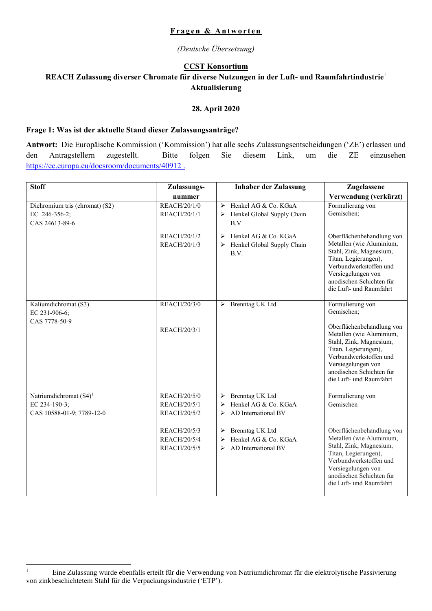#### **Fragen & Antworten**

*(Deutsche Übersetzung)* 

### **CCST Konsortium**

## **REACH Zulassung diverser Chromate für diverse Nutzungen in der Luft- und Raumfahrtindustrie**<sup>1</sup> **Aktualisierung**

#### **28. April 2020**

#### **Frage 1: Was ist der aktuelle Stand dieser Zulassungsanträge?**

**Antwort:** Die Europäische Kommission ('Kommission') hat alle sechs Zulassungsentscheidungen ('ZE') erlassen und den Antragstellern zugestellt. Bitte folgen Sie diesem Link, um die ZE einzusehen https://ec.europa.eu/docsroom/documents/40912 .

| <b>Stoff</b>                                                      | Zulassungs-                  | <b>Inhaber der Zulassung</b>                                         | Zugelassene                                                                                                                                                                                                     |
|-------------------------------------------------------------------|------------------------------|----------------------------------------------------------------------|-----------------------------------------------------------------------------------------------------------------------------------------------------------------------------------------------------------------|
|                                                                   | nummer                       |                                                                      | Verwendung (verkürzt)                                                                                                                                                                                           |
| Dichromium tris (chromat) (S2)<br>EC 246-356-2;<br>CAS 24613-89-6 | REACH/20/1/0<br>REACH/20/1/1 | Henkel AG & Co. KGaA<br>➤<br>Henkel Global Supply Chain<br>➤<br>B.V. | Formulierung von<br>Gemischen;                                                                                                                                                                                  |
|                                                                   | REACH/20/1/2<br>REACH/20/1/3 | Henkel AG & Co. KGaA<br>➤<br>Henkel Global Supply Chain<br>➤<br>B.V. | Oberflächenbehandlung von<br>Metallen (wie Aluminium,<br>Stahl, Zink, Magnesium,<br>Titan, Legierungen),<br>Verbundwerkstoffen und<br>Versiegelungen von<br>anodischen Schichten für<br>die Luft- und Raumfahrt |
| Kaliumdichromat (S3)<br>EC 231-906-6;<br>CAS 7778-50-9            | <b>REACH/20/3/0</b>          | > Brenntag UK Ltd.                                                   | Formulierung von<br>Gemischen;                                                                                                                                                                                  |
|                                                                   | REACH/20/3/1                 |                                                                      | Oberflächenbehandlung von<br>Metallen (wie Aluminium,<br>Stahl, Zink, Magnesium,<br>Titan, Legierungen),<br>Verbundwerkstoffen und<br>Versiegelungen von<br>anodischen Schichten für<br>die Luft- und Raumfahrt |
| Natriumdichromat (S4) <sup>1</sup>                                | REACH/20/5/0                 | Brenntag UK Ltd<br>≻                                                 | Formulierung von                                                                                                                                                                                                |
| EC 234-190-3;                                                     | REACH/20/5/1                 | Henkel AG & Co. KGaA<br>⋗                                            | Gemischen                                                                                                                                                                                                       |
| CAS 10588-01-9; 7789-12-0                                         | REACH/20/5/2                 | ➤<br>AD International BV                                             |                                                                                                                                                                                                                 |
|                                                                   | REACH/20/5/3                 | Brenntag UK Ltd<br>➤                                                 | Oberflächenbehandlung von                                                                                                                                                                                       |
|                                                                   | REACH/20/5/4                 | Henkel AG & Co. KGaA<br>➤                                            | Metallen (wie Aluminium,                                                                                                                                                                                        |
|                                                                   | REACH/20/5/5                 | AD International BV<br>⋗                                             | Stahl, Zink, Magnesium,<br>Titan, Legierungen),<br>Verbundwerkstoffen und<br>Versiegelungen von<br>anodischen Schichten für<br>die Luft- und Raumfahrt                                                          |

<sup>|&</sup>lt;br>|<br>| Eine Zulassung wurde ebenfalls erteilt für die Verwendung von Natriumdichromat für die elektrolytische Passivierung von zinkbeschichtetem Stahl für die Verpackungsindustrie ('ETP').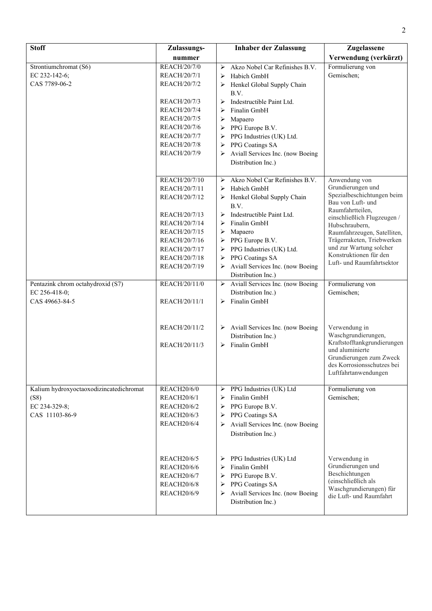| <b>Stoff</b>                            | Zulassungs-                              | <b>Inhaber der Zulassung</b>                       | Zugelassene                                        |
|-----------------------------------------|------------------------------------------|----------------------------------------------------|----------------------------------------------------|
|                                         | nummer                                   |                                                    | Verwendung (verkürzt)                              |
| Strontiumchromat (S6)                   | REACH/20/7/0                             | Akzo Nobel Car Refinishes B.V.<br>➤                | Formulierung von                                   |
| EC 232-142-6;                           | REACH/20/7/1                             | Habich GmbH<br>➤                                   | Gemischen;                                         |
| CAS 7789-06-2                           | REACH/20/7/2                             | Henkel Global Supply Chain<br>➤                    |                                                    |
|                                         |                                          | B.V.                                               |                                                    |
|                                         | REACH/20/7/3                             | Indestructible Paint Ltd.<br>➤                     |                                                    |
|                                         | REACH/20/7/4                             | Finalin GmbH<br>➤                                  |                                                    |
|                                         | REACH/20/7/5                             | Mapaero<br>➤                                       |                                                    |
|                                         | REACH/20/7/6                             | PPG Europe B.V.<br>➤                               |                                                    |
|                                         | <b>REACH/20/7/7</b>                      | PPG Industries (UK) Ltd.<br>➤                      |                                                    |
|                                         | <b>REACH/20/7/8</b>                      | PPG Coatings SA<br>➤                               |                                                    |
|                                         | REACH/20/7/9                             | Aviall Services Inc. (now Boeing                   |                                                    |
|                                         |                                          | Distribution Inc.)                                 |                                                    |
|                                         |                                          |                                                    |                                                    |
|                                         | REACH/20/7/10                            | Akzo Nobel Car Refinishes B.V.<br>➤                | Anwendung von<br>Grundierungen und                 |
|                                         | REACH/20/7/11                            | Habich GmbH<br>➤                                   | Spezialbeschichtungen beim                         |
|                                         | REACH/20/7/12                            | Henkel Global Supply Chain<br>B.V.                 | Bau von Luft- und                                  |
|                                         | REACH/20/7/13                            | Indestructible Paint Ltd.<br>➤                     | Raumfahrtteilen,                                   |
|                                         | REACH/20/7/14                            | Finalin GmbH<br>➤                                  | einschließlich Flugzeugen /                        |
|                                         | REACH/20/7/15                            | Mapaero<br>➤                                       | Hubschraubern,<br>Raumfahrzeugen, Satelliten,      |
|                                         | REACH/20/7/16                            | PPG Europe B.V.<br>➤                               | Trägerraketen, Triebwerken                         |
|                                         | REACH/20/7/17                            | PPG Industries (UK) Ltd.<br>➤                      | und zur Wartung solcher                            |
|                                         | REACH/20/7/18                            | PPG Coatings SA<br>➤                               | Konstruktionen für den                             |
|                                         | REACH/20/7/19                            | Aviall Services Inc. (now Boeing                   | Luft- und Raumfahrtsektor                          |
|                                         |                                          | Distribution Inc.)                                 |                                                    |
| Pentazink chrom octahydroxid (S7)       | REACH/20/11/0                            | $\triangleright$ Aviall Services Inc. (now Boeing) | Formulierung von                                   |
| EC 256-418-0;                           |                                          | Distribution Inc.)                                 | Gemischen;                                         |
| CAS 49663-84-5                          | REACH/20/11/1                            | $\triangleright$ Finalin GmbH                      |                                                    |
|                                         |                                          |                                                    |                                                    |
|                                         |                                          |                                                    |                                                    |
|                                         | REACH/20/11/2                            | $\triangleright$ Aviall Services Inc. (now Boeing  | Verwendung in                                      |
|                                         |                                          | Distribution Inc.)                                 | Waschgrundierungen,                                |
|                                         | REACH/20/11/3                            | Finalin GmbH<br>➤                                  | Kraftstofftankgrundierungen<br>und aluminierte     |
|                                         |                                          |                                                    | Grundierungen zum Zweck                            |
|                                         |                                          |                                                    | des Korrosionsschutzes bei                         |
|                                         |                                          |                                                    | Luftfahrtanwendungen                               |
|                                         |                                          |                                                    |                                                    |
| Kalium hydroxyoctaoxodizincatedichromat | <b>REACH20/6/0</b>                       | > PPG Industries (UK) Ltd<br>Finalin GmbH          | Formulierung von<br>Gemischen;                     |
| (S8)<br>EC 234-329-8;                   | <b>REACH20/6/1</b><br><b>REACH20/6/2</b> | ➤<br>PPG Europe B.V.                               |                                                    |
| CAS 11103-86-9                          | <b>REACH20/6/3</b>                       | ➤<br>PPG Coatings SA<br>➤                          |                                                    |
|                                         | <b>REACH20/6/4</b>                       | Aviall Services Inc. (now Boeing                   |                                                    |
|                                         |                                          | ➤                                                  |                                                    |
|                                         |                                          | Distribution Inc.)                                 |                                                    |
|                                         |                                          |                                                    |                                                    |
|                                         | <b>REACH20/6/5</b>                       | PPG Industries (UK) Ltd<br>➤                       | Verwendung in                                      |
|                                         | <b>REACH20/6/6</b>                       | Finalin GmbH<br>➤                                  | Grundierungen und                                  |
|                                         | <b>REACH20/6/7</b>                       | PPG Europe B.V.<br>➤                               | Beschichtungen                                     |
|                                         | <b>REACH20/6/8</b>                       | PPG Coatings SA<br>➤                               | (einschließlich als                                |
|                                         | <b>REACH20/6/9</b>                       | Aviall Services Inc. (now Boeing                   | Waschgrundierungen) für<br>die Luft- und Raumfahrt |
|                                         |                                          | Distribution Inc.)                                 |                                                    |
|                                         |                                          |                                                    |                                                    |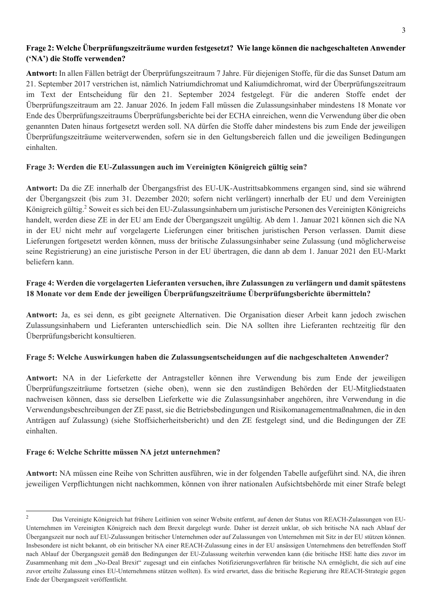# **Frage 2: Welche Überprüfungszeiträume wurden festgesetzt? Wie lange können die nachgeschalteten Anwender ('NA') die Stoffe verwenden?**

**Antwort:** In allen Fällen beträgt der Überprüfungszeitraum 7 Jahre. Für diejenigen Stoffe, für die das Sunset Datum am 21. September 2017 verstrichen ist, nämlich Natriumdichromat und Kaliumdichromat, wird der Überprüfungszeitraum im Text der Entscheidung für den 21. September 2024 festgelegt. Für die anderen Stoffe endet der Überprüfungszeitraum am 22. Januar 2026. In jedem Fall müssen die Zulassungsinhaber mindestens 18 Monate vor Ende des Überprüfungszeitraums Überprüfungsberichte bei der ECHA einreichen, wenn die Verwendung über die oben genannten Daten hinaus fortgesetzt werden soll. NA dürfen die Stoffe daher mindestens bis zum Ende der jeweiligen Überprüfungszeiträume weiterverwenden, sofern sie in den Geltungsbereich fallen und die jeweiligen Bedingungen einhalten.

# **Frage 3: Werden die EU-Zulassungen auch im Vereinigten Königreich gültig sein?**

**Antwort:** Da die ZE innerhalb der Übergangsfrist des EU-UK-Austrittsabkommens ergangen sind, sind sie während der Übergangszeit (bis zum 31. Dezember 2020; sofern nicht verlängert) innerhalb der EU und dem Vereinigten Königreich gültig.<sup>2</sup> Soweit es sich bei den EU-Zulassungsinhabern um juristische Personen des Vereinigten Königreichs handelt, werden diese ZE in der EU am Ende der Übergangszeit ungültig. Ab dem 1. Januar 2021 können sich die NA in der EU nicht mehr auf vorgelagerte Lieferungen einer britischen juristischen Person verlassen. Damit diese Lieferungen fortgesetzt werden können, muss der britische Zulassungsinhaber seine Zulassung (und möglicherweise seine Registrierung) an eine juristische Person in der EU übertragen, die dann ab dem 1. Januar 2021 den EU-Markt beliefern kann.

# **Frage 4: Werden die vorgelagerten Lieferanten versuchen, ihre Zulassungen zu verlängern und damit spätestens 18 Monate vor dem Ende der jeweiligen Überprüfungszeiträume Überprüfungsberichte übermitteln?**

**Antwort:** Ja, es sei denn, es gibt geeignete Alternativen. Die Organisation dieser Arbeit kann jedoch zwischen Zulassungsinhabern und Lieferanten unterschiedlich sein. Die NA sollten ihre Lieferanten rechtzeitig für den Überprüfungsbericht konsultieren.

### **Frage 5: Welche Auswirkungen haben die Zulassungsentscheidungen auf die nachgeschalteten Anwender?**

**Antwort:** NA in der Lieferkette der Antragsteller können ihre Verwendung bis zum Ende der jeweiligen Überprüfungszeiträume fortsetzen (siehe oben), wenn sie den zuständigen Behörden der EU-Mitgliedstaaten nachweisen können, dass sie derselben Lieferkette wie die Zulassungsinhaber angehören, ihre Verwendung in die Verwendungsbeschreibungen der ZE passt, sie die Betriebsbedingungen und Risikomanagementmaßnahmen, die in den Anträgen auf Zulassung) (siehe Stoffsicherheitsbericht) und den ZE festgelegt sind, und die Bedingungen der ZE einhalten.

# **Frage 6: Welche Schritte müssen NA jetzt unternehmen?**

1

**Antwort:** NA müssen eine Reihe von Schritten ausführen, wie in der folgenden Tabelle aufgeführt sind. NA, die ihren jeweiligen Verpflichtungen nicht nachkommen, können von ihrer nationalen Aufsichtsbehörde mit einer Strafe belegt

<sup>2</sup> Das Vereinigte Königreich hat frühere Leitlinien von seiner Website entfernt, auf denen der Status von REACH-Zulassungen von EU-Unternehmen im Vereinigten Königreich nach dem Brexit dargelegt wurde. Daher ist derzeit unklar, ob sich britische NA nach Ablauf der Übergangszeit nur noch auf EU-Zulassungen britischer Unternehmen oder auf Zulassungen von Unternehmen mit Sitz in der EU stützen können. Insbesondere ist nicht bekannt, ob ein britischer NA einer REACH-Zulassung eines in der EU ansässigen Unternehmens den betreffenden Stoff nach Ablauf der Übergangszeit gemäß den Bedingungen der EU-Zulassung weiterhin verwenden kann (die britische HSE hatte dies zuvor im Zusammenhang mit dem "No-Deal Brexit" zugesagt und ein einfaches Notifizierungsverfahren für britische NA ermöglicht, die sich auf eine zuvor erteilte Zulassung eines EU-Unternehmens stützen wollten). Es wird erwartet, dass die britische Regierung ihre REACH-Strategie gegen Ende der Übergangszeit veröffentlicht.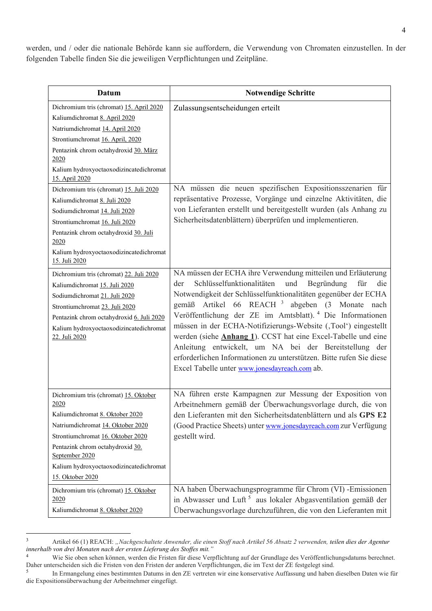werden, und / oder die nationale Behörde kann sie auffordern, die Verwendung von Chromaten einzustellen. In der folgenden Tabelle finden Sie die jeweiligen Verpflichtungen und Zeitpläne.

| Datum                                                                                                                                                                                                                                                                                                                                                                                                                                                                                                                     | <b>Notwendige Schritte</b>                                                                                                                                                                                                                                                                                                                                                                                                                                                                                                                                                                                                                                                   |
|---------------------------------------------------------------------------------------------------------------------------------------------------------------------------------------------------------------------------------------------------------------------------------------------------------------------------------------------------------------------------------------------------------------------------------------------------------------------------------------------------------------------------|------------------------------------------------------------------------------------------------------------------------------------------------------------------------------------------------------------------------------------------------------------------------------------------------------------------------------------------------------------------------------------------------------------------------------------------------------------------------------------------------------------------------------------------------------------------------------------------------------------------------------------------------------------------------------|
| Dichromium tris (chromat) 15. April 2020<br>Kaliumdichromat 8. April 2020<br>Natriumdichromat 14. April 2020<br>Strontiumchromat 16. April, 2020<br>Pentazink chrom octahydroxid 30. März<br>2020<br>Kalium hydroxyoctaoxodizincatedichromat<br>15. April 2020<br>Dichromium tris (chromat) 15. Juli 2020<br>Kaliumdichromat 8. Juli 2020<br>Sodiumdichromat 14. Juli 2020<br>Strontiumchromat 16. Juli 2020<br>Pentazink chrom octahydroxid 30. Juli<br>2020<br>Kalium hydroxyoctaoxodizincatedichromat<br>15. Juli 2020 | Zulassungsentscheidungen erteilt<br>NA müssen die neuen spezifischen Expositionsszenarien für<br>repräsentative Prozesse, Vorgänge und einzelne Aktivitäten, die<br>von Lieferanten erstellt und bereitgestellt wurden (als Anhang zu<br>Sicherheitsdatenblättern) überprüfen und implementieren.                                                                                                                                                                                                                                                                                                                                                                            |
| Dichromium tris (chromat) 22. Juli 2020<br>Kaliumdichromat 15. Juli 2020<br>Sodiumdichromat 21. Juli 2020<br>Strontiumchromat 23. Juli 2020<br>Pentazink chrom octahydroxid 6. Juli 2020<br>Kalium hydroxyoctaoxodizincatedichromat<br>22. Juli 2020                                                                                                                                                                                                                                                                      | NA müssen der ECHA ihre Verwendung mitteilen und Erläuterung<br>Schlüsselfunktionalitäten<br>und<br>Begründung<br>für<br>die<br>der<br>Notwendigkeit der Schlüsselfunktionalitäten gegenüber der ECHA<br>gemäß Artikel 66 REACH <sup>3</sup> abgeben (3 Monate<br>nach<br>Veröffentlichung der ZE im Amtsblatt). <sup>4</sup> Die Informationen<br>müssen in der ECHA-Notifizierungs-Website (,Tool') eingestellt<br>werden (siehe <b>Anhang 1</b> ). CCST hat eine Excel-Tabelle und eine<br>Anleitung entwickelt, um NA bei der Bereitstellung der<br>erforderlichen Informationen zu unterstützen. Bitte rufen Sie diese<br>Excel Tabelle unter www.jonesdayreach.com ab. |
| Dichromium tris (chromat) 15. Oktober<br>2020<br>Kaliumdichromat 8. Oktober 2020<br>Natriumdichromat 14. Oktober 2020<br>Strontiumchromat 16. Oktober 2020<br>Pentazink chrom octahydroxid 30.<br>September 2020<br>Kalium hydroxyoctaoxodizincatedichromat<br>15. Oktober 2020<br>Dichromium tris (chromat) 15. Oktober                                                                                                                                                                                                  | NA führen erste Kampagnen zur Messung der Exposition von<br>Arbeitnehmern gemäß der Überwachungsvorlage durch, die von<br>den Lieferanten mit den Sicherheitsdatenblättern und als GPS E2<br>(Good Practice Sheets) unter www.jonesdayreach.com zur Verfügung<br>gestellt wird.<br>NA haben Überwachungsprogramme für Chrom (VI) -Emissionen                                                                                                                                                                                                                                                                                                                                 |
| 2020<br>Kaliumdichromat 8. Oktober 2020                                                                                                                                                                                                                                                                                                                                                                                                                                                                                   | in Abwasser und Luft <sup>5</sup> aus lokaler Abgasventilation gemäß der<br>Überwachungsvorlage durchzuführen, die von den Lieferanten mit                                                                                                                                                                                                                                                                                                                                                                                                                                                                                                                                   |

 $\frac{1}{3}$  Artikel 66 (1) REACH: *"Nachgeschaltete Anwender, die einen Stoff nach Artikel 56 Absatz 2 verwenden, teilen dies der Agentur innerhalb von drei Monaten nach der ersten Lieferung des Stoffes mit."*

<sup>4</sup> Wie Sie oben sehen können, werden die Fristen für diese Verpflichtung auf der Grundlage des Veröffentlichungsdatums berechnet. Daher unterscheiden sich die Fristen von den Fristen der anderen Verpflichtungen, die im Text der ZE festgelegt sind.

<sup>5</sup> In Ermangelung eines bestimmten Datums in den ZE vertreten wir eine konservative Auffassung und haben dieselben Daten wie für die Expositionsüberwachung der Arbeitnehmer eingefügt.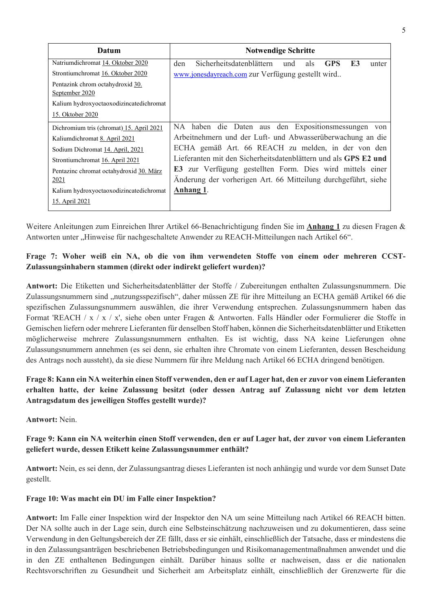| Datum                                              | <b>Notwendige Schritte</b>                                                        |
|----------------------------------------------------|-----------------------------------------------------------------------------------|
| Natriumdichromat 14. Oktober 2020                  | Sicherheitsdatenblättern<br><b>F3</b><br>den<br>als<br><b>GPS</b><br>und<br>unter |
| Strontiumchromat 16. Oktober 2020                  | www.jonesdayreach.com zur Verfügung gestellt wird                                 |
| Pentazink chrom octahydroxid 30.<br>September 2020 |                                                                                   |
| Kalium hydroxyoctaoxodizincatedichromat            |                                                                                   |
| 15. Oktober 2020                                   |                                                                                   |
| Dichromium tris (chromat) 15. April 2021           | NA haben die Daten aus den Expositionsmessungen von                               |
| Kalium dichromat 8. April 2021                     | Arbeitnehmern und der Luft- und Abwasserüberwachung an die                        |
| Sodium Dichromat 14. April, 2021                   | ECHA gemäß Art. 66 REACH zu melden, in der von den                                |
| Strontiumchromat 16. April 2021                    | Lieferanten mit den Sicherheitsdatenblättern und als GPS E2 und                   |
| Pentazinc chromat octahydroxid 30. März            | <b>E3</b> zur Verfügung gestellten Form. Dies wird mittels einer                  |
| 2021                                               | Änderung der vorherigen Art. 66 Mitteilung durchgeführt, siehe                    |
| Kalium hydroxyoctaoxodizincatedichromat            | Anhang 1.                                                                         |
| 15. April 2021                                     |                                                                                   |

Weitere Anleitungen zum Einreichen Ihrer Artikel 66-Benachrichtigung finden Sie im **Anhang 1** zu diesen Fragen & Antworten unter "Hinweise für nachgeschaltete Anwender zu REACH-Mitteilungen nach Artikel 66".

# **Frage 7: Woher weiß ein NA, ob die von ihm verwendeten Stoffe von einem oder mehreren CCST-Zulassungsinhabern stammen (direkt oder indirekt geliefert wurden)?**

**Antwort:** Die Etiketten und Sicherheitsdatenblätter der Stoffe / Zubereitungen enthalten Zulassungsnummern. Die Zulassungsnummern sind "nutzungsspezifisch", daher müssen ZE für ihre Mitteilung an ECHA gemäß Artikel 66 die spezifischen Zulassungsnummern auswählen, die ihrer Verwendung entsprechen. Zulassungsnummern haben das Format 'REACH / x / x / x', siehe oben unter Fragen & Antworten. Falls Händler oder Formulierer die Stoffe in Gemischen liefern oder mehrere Lieferanten für denselben Stoff haben, können die Sicherheitsdatenblätter und Etiketten möglicherweise mehrere Zulassungsnummern enthalten. Es ist wichtig, dass NA keine Lieferungen ohne Zulassungsnummern annehmen (es sei denn, sie erhalten ihre Chromate von einem Lieferanten, dessen Bescheidung des Antrags noch aussteht), da sie diese Nummern für ihre Meldung nach Artikel 66 ECHA dringend benötigen.

# **Frage 8: Kann ein NA weiterhin einen Stoff verwenden, den er auf Lager hat, den er zuvor von einem Lieferanten erhalten hatte, der keine Zulassung besitzt (oder dessen Antrag auf Zulassung nicht vor dem letzten Antragsdatum des jeweiligen Stoffes gestellt wurde)?**

**Antwort:** Nein.

# **Frage 9: Kann ein NA weiterhin einen Stoff verwenden, den er auf Lager hat, der zuvor von einem Lieferanten geliefert wurde, dessen Etikett keine Zulassungsnummer enthält?**

**Antwort:** Nein, es sei denn, der Zulassungsantrag dieses Lieferanten ist noch anhängig und wurde vor dem Sunset Date gestellt.

### **Frage 10: Was macht ein DU im Falle einer Inspektion?**

**Antwort:** Im Falle einer Inspektion wird der Inspektor den NA um seine Mitteilung nach Artikel 66 REACH bitten. Der NA sollte auch in der Lage sein, durch eine Selbsteinschätzung nachzuweisen und zu dokumentieren, dass seine Verwendung in den Geltungsbereich der ZE fällt, dass er sie einhält, einschließlich der Tatsache, dass er mindestens die in den Zulassungsanträgen beschriebenen Betriebsbedingungen und Risikomanagementmaßnahmen anwendet und die in den ZE enthaltenen Bedingungen einhält. Darüber hinaus sollte er nachweisen, dass er die nationalen Rechtsvorschriften zu Gesundheit und Sicherheit am Arbeitsplatz einhält, einschließlich der Grenzwerte für die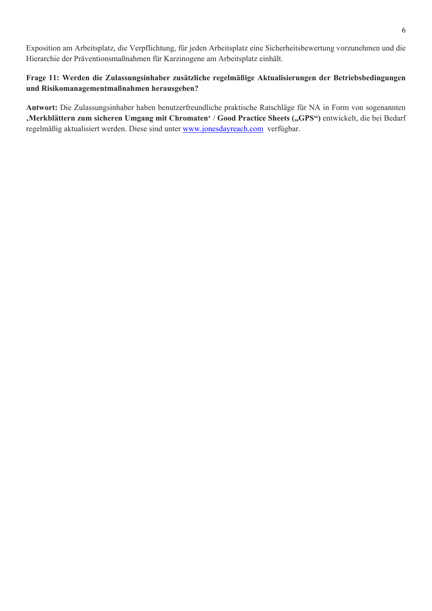Exposition am Arbeitsplatz, die Verpflichtung, für jeden Arbeitsplatz eine Sicherheitsbewertung vorzunehmen und die Hierarchie der Präventionsmaßnahmen für Karzinogene am Arbeitsplatz einhält.

## **Frage 11: Werden die Zulassungsinhaber zusätzliche regelmäßige Aktualisierungen der Betriebsbedingungen und Risikomanagementmaßnahmen herausgeben?**

**Antwort:** Die Zulassungsinhaber haben benutzerfreundliche praktische Ratschläge für NA in Form von sogenannten , Merkblättern zum sicheren Umgang mit Chromaten<sup>4</sup> / Good Practice Sheets ("GPS") entwickelt, die bei Bedarf regelmäßig aktualisiert werden. Diese sind unter www.jonesdayreach.com verfügbar.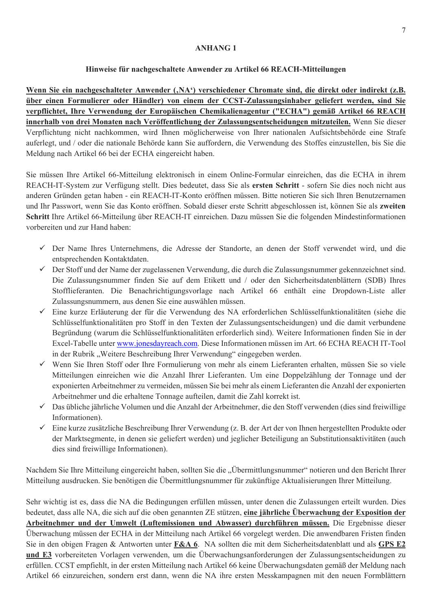#### **ANHANG 1**

#### **Hinweise für nachgeschaltete Anwender zu Artikel 66 REACH-Mitteilungen**

Wenn Sie ein nachgeschalteter Anwender (,NA<sup>c</sup>) verschiedener Chromate sind, die direkt oder indirekt (z.B. **über einen Formulierer oder Händler) von einem der CCST-Zulassungsinhaber geliefert werden, sind Sie verpflichtet, Ihre Verwendung der Europäischen Chemikalienagentur ("ECHA") gemäß Artikel 66 REACH innerhalb von drei Monaten nach Veröffentlichung der Zulassungsentscheidungen mitzuteilen.** Wenn Sie dieser Verpflichtung nicht nachkommen, wird Ihnen möglicherweise von Ihrer nationalen Aufsichtsbehörde eine Strafe auferlegt, und / oder die nationale Behörde kann Sie auffordern, die Verwendung des Stoffes einzustellen, bis Sie die Meldung nach Artikel 66 bei der ECHA eingereicht haben.

Sie müssen Ihre Artikel 66-Mitteilung elektronisch in einem Online-Formular einreichen, das die ECHA in ihrem REACH-IT-System zur Verfügung stellt. Dies bedeutet, dass Sie als **ersten Schritt** - sofern Sie dies noch nicht aus anderen Gründen getan haben - ein REACH-IT-Konto eröffnen müssen. Bitte notieren Sie sich Ihren Benutzernamen und Ihr Passwort, wenn Sie das Konto eröffnen. Sobald dieser erste Schritt abgeschlossen ist, können Sie als **zweiten Schritt** Ihre Artikel 66-Mitteilung über REACH-IT einreichen. Dazu müssen Sie die folgenden Mindestinformationen vorbereiten und zur Hand haben:

- Der Name Ihres Unternehmens, die Adresse der Standorte, an denen der Stoff verwendet wird, und die entsprechenden Kontaktdaten.
- Der Stoff und der Name der zugelassenen Verwendung, die durch die Zulassungsnummer gekennzeichnet sind. Die Zulassungsnummer finden Sie auf dem Etikett und / oder den Sicherheitsdatenblättern (SDB) Ihres Stofflieferanten. Die Benachrichtigungsvorlage nach Artikel 66 enthält eine Dropdown-Liste aller Zulassungsnummern, aus denen Sie eine auswählen müssen.
- Eine kurze Erläuterung der für die Verwendung des NA erforderlichen Schlüsselfunktionalitäten (siehe die Schlüsselfunktionalitäten pro Stoff in den Texten der Zulassungsentscheidungen) und die damit verbundene Begründung (warum die Schlüsselfunktionalitäten erforderlich sind). Weitere Informationen finden Sie in der Excel-Tabelle unter www.jonesdayreach.com. Diese Informationen müssen im Art. 66 ECHA REACH IT-Tool in der Rubrik "Weitere Beschreibung Ihrer Verwendung" eingegeben werden.
- Wenn Sie Ihren Stoff oder Ihre Formulierung von mehr als einem Lieferanten erhalten, müssen Sie so viele Mitteilungen einreichen wie die Anzahl Ihrer Lieferanten. Um eine Doppelzählung der Tonnage und der exponierten Arbeitnehmer zu vermeiden, müssen Sie bei mehr als einem Lieferanten die Anzahl der exponierten Arbeitnehmer und die erhaltene Tonnage aufteilen, damit die Zahl korrekt ist.
- Das übliche jährliche Volumen und die Anzahl der Arbeitnehmer, die den Stoff verwenden (dies sind freiwillige Informationen).
- $\checkmark$  Eine kurze zusätzliche Beschreibung Ihrer Verwendung (z. B. der Art der von Ihnen hergestellten Produkte oder der Marktsegmente, in denen sie geliefert werden) und jeglicher Beteiligung an Substitutionsaktivitäten (auch dies sind freiwillige Informationen).

Nachdem Sie Ihre Mitteilung eingereicht haben, sollten Sie die "Übermittlungsnummer" notieren und den Bericht Ihrer Mitteilung ausdrucken. Sie benötigen die Übermittlungsnummer für zukünftige Aktualisierungen Ihrer Mitteilung.

Sehr wichtig ist es, dass die NA die Bedingungen erfüllen müssen, unter denen die Zulassungen erteilt wurden. Dies bedeutet, dass alle NA, die sich auf die oben genannten ZE stützen, **eine jährliche Überwachung der Exposition der Arbeitnehmer und der Umwelt (Luftemissionen und Abwasser) durchführen müssen.** Die Ergebnisse dieser Überwachung müssen der ECHA in der Mitteilung nach Artikel 66 vorgelegt werden. Die anwendbaren Fristen finden Sie in den obigen Fragen & Antworten unter **F&A 6**. NA sollten die mit dem Sicherheitsdatenblatt und als **GPS E2 und E3** vorbereiteten Vorlagen verwenden, um die Überwachungsanforderungen der Zulassungsentscheidungen zu erfüllen. CCST empfiehlt, in der ersten Mitteilung nach Artikel 66 keine Überwachungsdaten gemäß der Meldung nach Artikel 66 einzureichen, sondern erst dann, wenn die NA ihre ersten Messkampagnen mit den neuen Formblättern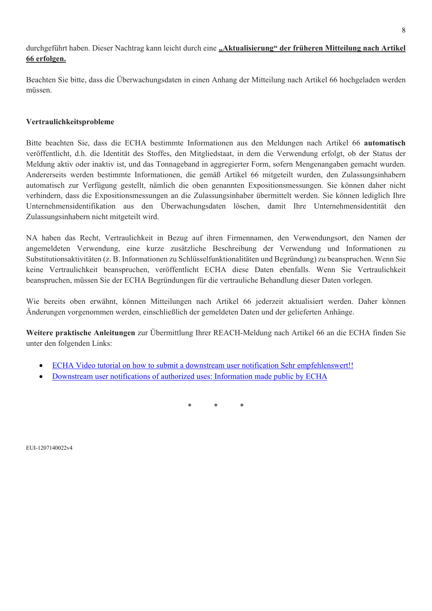durchgeführt haben. Dieser Nachtrag kann leicht durch eine "Aktualisierung" der früheren Mitteilung nach Artikel **66 erfolgen.**

Beachten Sie bitte, dass die Überwachungsdaten in einen Anhang der Mitteilung nach Artikel 66 hochgeladen werden müssen.

### **Vertraulichkeitsprobleme**

Bitte beachten Sie, dass die ECHA bestimmte Informationen aus den Meldungen nach Artikel 66 **automatisch** veröffentlicht, d.h. die Identität des Stoffes, den Mitgliedstaat, in dem die Verwendung erfolgt, ob der Status der Meldung aktiv oder inaktiv ist, und das Tonnageband in aggregierter Form, sofern Mengenangaben gemacht wurden. Andererseits werden bestimmte Informationen, die gemäß Artikel 66 mitgeteilt wurden, den Zulassungsinhabern automatisch zur Verfügung gestellt, nämlich die oben genannten Expositionsmessungen. Sie können daher nicht verhindern, dass die Expositionsmessungen an die Zulassungsinhaber übermittelt werden. Sie können lediglich Ihre Unternehmensidentifikation aus den Überwachungsdaten löschen, damit Ihre Unternehmensidentität den Zulassungsinhabern nicht mitgeteilt wird.

NA haben das Recht, Vertraulichkeit in Bezug auf ihren Firmennamen, den Verwendungsort, den Namen der angemeldeten Verwendung, eine kurze zusätzliche Beschreibung der Verwendung und Informationen zu Substitutionsaktivitäten (z. B. Informationen zu Schlüsselfunktionalitäten und Begründung) zu beanspruchen. Wenn Sie keine Vertraulichkeit beanspruchen, veröffentlicht ECHA diese Daten ebenfalls. Wenn Sie Vertraulichkeit beanspruchen, müssen Sie der ECHA Begründungen für die vertrauliche Behandlung dieser Daten vorlegen.

Wie bereits oben erwähnt, können Mitteilungen nach Artikel 66 jederzeit aktualisiert werden. Daher können Änderungen vorgenommen werden, einschließlich der gemeldeten Daten und der gelieferten Anhänge.

**Weitere praktische Anleitungen** zur Übermittlung Ihrer REACH-Meldung nach Artikel 66 an die ECHA finden Sie unter den folgenden Links:

- ECHA Video tutorial on how to submit a downstream user notification Sehr empfehlenswert!!
- Downstream user notifications of authorized uses: Information made public by ECHA

\* \* \*

EUI-1207140022v4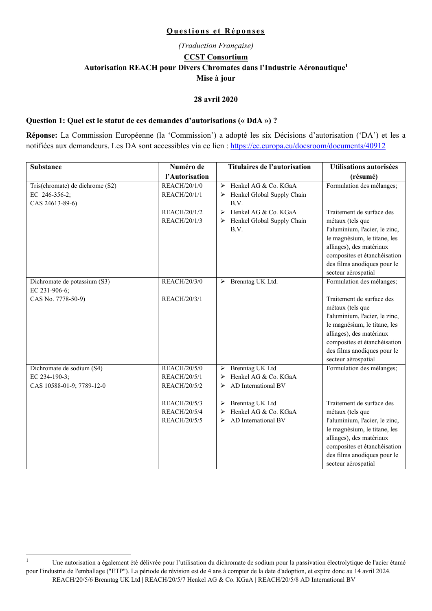#### **Questions et Réponses**

# *(Traduction Française)*  **CCST Consortium Autorisation REACH pour Divers Chromates dans l'Industrie Aéronautique1 Mise à jour**

#### **28 avril 2020**

#### **Question 1: Quel est le statut de ces demandes d'autorisations (« DdA ») ?**

**Réponse:** La Commission Européenne (la 'Commission') a adopté les six Décisions d'autorisation ('DA') et les a notifiées aux demandeurs. Les DA sont accessibles via ce lien : https://ec.europa.eu/docsroom/documents/40912

| <b>Substance</b>                | Numéro de           | <b>Titulaires de l'autorisation</b> | <b>Utilisations autorisées</b> |
|---------------------------------|---------------------|-------------------------------------|--------------------------------|
|                                 | l'Autorisation      |                                     | (résumé)                       |
| Tris(chromate) de dichrome (S2) | <b>REACH/20/1/0</b> | Henkel AG & Co. KGaA<br>⋗           | Formulation des mélanges;      |
| EC 246-356-2;                   | REACH/20/1/1        | Henkel Global Supply Chain<br>➤     |                                |
| CAS 24613-89-6)                 |                     | B.V.                                |                                |
|                                 | REACH/20/1/2        | Henkel AG & Co. KGaA<br>≻           | Traitement de surface des      |
|                                 | REACH/20/1/3        | Henkel Global Supply Chain<br>➤     | métaux (tels que               |
|                                 |                     | B.V.                                | l'aluminium, l'acier, le zinc, |
|                                 |                     |                                     | le magnésium, le titane, les   |
|                                 |                     |                                     | alliages), des matériaux       |
|                                 |                     |                                     | composites et étanchéisation   |
|                                 |                     |                                     | des films anodiques pour le    |
|                                 |                     |                                     | secteur aérospatial            |
| Dichromate de potassium (S3)    | REACH/20/3/0        | > Brenntag UK Ltd.                  | Formulation des mélanges;      |
| EC 231-906-6;                   |                     |                                     |                                |
| CAS No. 7778-50-9)              | REACH/20/3/1        |                                     | Traitement de surface des      |
|                                 |                     |                                     | métaux (tels que               |
|                                 |                     |                                     | l'aluminium, l'acier, le zinc, |
|                                 |                     |                                     | le magnésium, le titane, les   |
|                                 |                     |                                     | alliages), des matériaux       |
|                                 |                     |                                     | composites et étanchéisation   |
|                                 |                     |                                     | des films anodiques pour le    |
|                                 |                     |                                     | secteur aérospatial            |
| Dichromate de sodium (S4)       | REACH/20/5/0        | <b>Brenntag UK Ltd</b><br>≻         | Formulation des mélanges;      |
| EC 234-190-3;                   | REACH/20/5/1        | Henkel AG & Co. KGaA<br>➤           |                                |
| CAS 10588-01-9; 7789-12-0       | REACH/20/5/2        | AD International BV<br>➤            |                                |
|                                 |                     |                                     |                                |
|                                 | REACH/20/5/3        | > Brenntag UK Ltd                   | Traitement de surface des      |
|                                 | REACH/20/5/4        | Henkel AG & Co. KGaA<br>➤           | métaux (tels que               |
|                                 | REACH/20/5/5        | AD International BV<br>↘            | l'aluminium, l'acier, le zinc, |
|                                 |                     |                                     | le magnésium, le titane, les   |
|                                 |                     |                                     | alliages), des matériaux       |
|                                 |                     |                                     | composites et étanchéisation   |
|                                 |                     |                                     | des films anodiques pour le    |
|                                 |                     |                                     | secteur aérospatial            |

 $\frac{1}{1}$  Une autorisation a également été délivrée pour l'utilisation du dichromate de sodium pour la passivation électrolytique de l'acier étamé pour l'industrie de l'emballage ("ETP"). La période de révision est de 4 ans à compter de la date d'adoption, et expire donc au 14 avril 2024. REACH/20/5/6 Brenntag UK Ltd **|** REACH/20/5/7 Henkel AG & Co. KGaA **|** REACH/20/5/8 AD International BV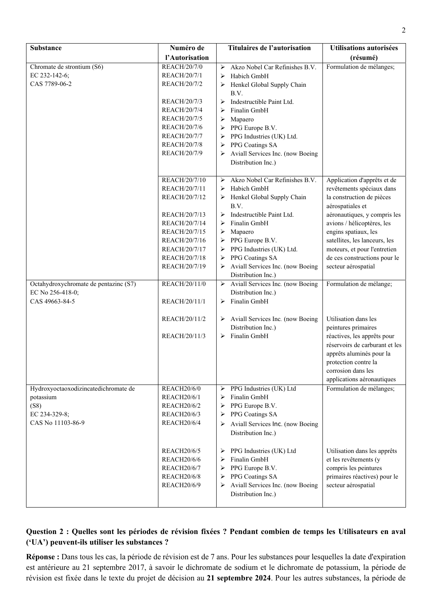| <b>Substance</b>                      | Numéro de                                | Titulaires de l'autorisation                            | <b>Utilisations autorisées</b>                        |
|---------------------------------------|------------------------------------------|---------------------------------------------------------|-------------------------------------------------------|
|                                       | l'Autorisation                           |                                                         | (résumé)                                              |
| Chromate de strontium (S6)            | REACH/20/7/0                             | Akzo Nobel Car Refinishes B.V.<br>➤                     | Formulation de mélanges;                              |
| EC 232-142-6;                         | REACH/20/7/1                             | Habich GmbH<br>➤                                        |                                                       |
| CAS 7789-06-2                         | REACH/20/7/2                             | Henkel Global Supply Chain<br>➤                         |                                                       |
|                                       |                                          | B.V.                                                    |                                                       |
|                                       | REACH/20/7/3                             | Indestructible Paint Ltd.<br>$\blacktriangleright$      |                                                       |
|                                       | REACH/20/7/4                             | Finalin GmbH<br>➤                                       |                                                       |
|                                       | REACH/20/7/5                             | Mapaero<br>➤                                            |                                                       |
|                                       | REACH/20/7/6                             | PPG Europe B.V.<br>➤                                    |                                                       |
|                                       | REACH/20/7/7                             | PPG Industries (UK) Ltd.<br>➤                           |                                                       |
|                                       | <b>REACH/20/7/8</b>                      | PPG Coatings SA<br>➤                                    |                                                       |
|                                       | REACH/20/7/9                             | Aviall Services Inc. (now Boeing<br>➤                   |                                                       |
|                                       |                                          | Distribution Inc.)                                      |                                                       |
|                                       | REACH/20/7/10                            | Akzo Nobel Car Refinishes B.V.<br>$\blacktriangleright$ | Application d'apprêts et de                           |
|                                       | REACH/20/7/11                            | Habich GmbH<br>➤                                        | revêtements spéciaux dans                             |
|                                       | REACH/20/7/12                            | Henkel Global Supply Chain<br>➤                         | la construction de pièces                             |
|                                       |                                          | B.V.                                                    | aérospatiales et                                      |
|                                       | REACH/20/7/13                            | Indestructible Paint Ltd.<br>➤                          | aéronautiques, y compris les                          |
|                                       | REACH/20/7/14                            | Finalin GmbH<br>➤                                       | avions / hélicoptères, les                            |
|                                       | REACH/20/7/15                            | Mapaero<br>➤                                            | engins spatiaux, les                                  |
|                                       | REACH/20/7/16                            | PPG Europe B.V.<br>➤                                    | satellites, les lanceurs, les                         |
|                                       | REACH/20/7/17                            | PPG Industries (UK) Ltd.<br>➤                           | moteurs, et pour l'entretien                          |
|                                       | REACH/20/7/18                            | PPG Coatings SA<br>➤                                    | de ces constructions pour le                          |
|                                       | REACH/20/7/19                            | Aviall Services Inc. (now Boeing<br>➤                   | secteur aérospatial                                   |
|                                       |                                          | Distribution Inc.)                                      |                                                       |
| Octahydroxychromate de pentazinc (S7) | REACH/20/11/0                            | Aviall Services Inc. (now Boeing<br>➤                   | Formulation de mélange;                               |
| EC No 256-418-0;                      |                                          | Distribution Inc.)                                      |                                                       |
| CAS 49663-84-5                        | REACH/20/11/1                            | Finalin GmbH<br>➤                                       |                                                       |
|                                       | REACH/20/11/2                            | $\triangleright$ Aviall Services Inc. (now Boeing       | Utilisation dans les                                  |
|                                       |                                          | Distribution Inc.)                                      | peintures primaires                                   |
|                                       | REACH/20/11/3                            | Finalin GmbH<br>➤                                       | réactives, les apprêts pour                           |
|                                       |                                          |                                                         | réservoirs de carburant et les                        |
|                                       |                                          |                                                         | apprêts aluminés pour la                              |
|                                       |                                          |                                                         | protection contre la                                  |
|                                       |                                          |                                                         | corrosion dans les                                    |
|                                       |                                          |                                                         | applications aéronautiques                            |
| Hydroxyoctaoxodizincatedichromate de  | <b>REACH20/6/0</b>                       | PPG Industries (UK) Ltd<br>➤                            | Formulation de mélanges;                              |
| potassium                             | <b>REACH20/6/1</b>                       | Finalin GmbH<br>$\blacktriangleright$                   |                                                       |
| (S8)                                  | <b>REACH20/6/2</b>                       | PPG Europe B.V.<br>$\blacktriangleright$                |                                                       |
| EC 234-329-8;                         | <b>REACH20/6/3</b>                       | PPG Coatings SA<br>➤                                    |                                                       |
| CAS No 11103-86-9                     | <b>REACH20/6/4</b>                       | Aviall Services Inc. (now Boeing<br>➤                   |                                                       |
|                                       |                                          | Distribution Inc.)                                      |                                                       |
|                                       |                                          |                                                         |                                                       |
|                                       | <b>REACH20/6/5</b>                       | PPG Industries (UK) Ltd<br>➤                            | Utilisation dans les apprêts                          |
|                                       | <b>REACH20/6/6</b>                       | Finalin GmbH<br>➤                                       | et les revêtements (y                                 |
|                                       | <b>REACH20/6/7</b><br><b>REACH20/6/8</b> | PPG Europe B.V.<br>➤<br>PPG Coatings SA<br>➤            | compris les peintures<br>primaires réactives) pour le |
|                                       | <b>REACH20/6/9</b>                       | Aviall Services Inc. (now Boeing<br>➤                   | secteur aérospatial                                   |
|                                       |                                          | Distribution Inc.)                                      |                                                       |
|                                       |                                          |                                                         |                                                       |

## **Question 2 : Quelles sont les périodes de révision fixées ? Pendant combien de temps les Utilisateurs en aval ('UA') peuvent-ils utiliser les substances ?**

**Réponse :** Dans tous les cas, la période de révision est de 7 ans. Pour les substances pour lesquelles la date d'expiration est antérieure au 21 septembre 2017, à savoir le dichromate de sodium et le dichromate de potassium, la période de révision est fixée dans le texte du projet de décision au **21 septembre 2024**. Pour les autres substances, la période de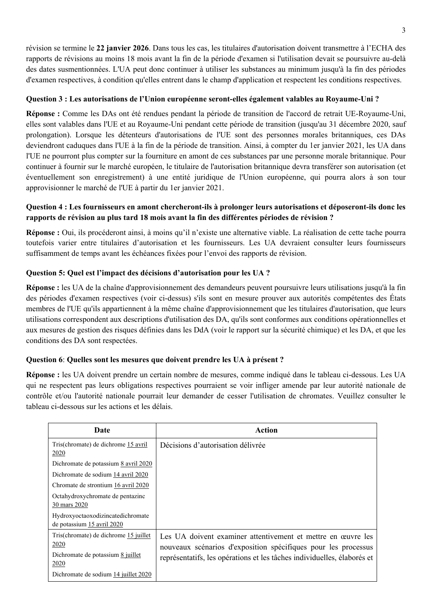révision se termine le **22 janvier 2026**. Dans tous les cas, les titulaires d'autorisation doivent transmettre à l'ECHA des rapports de révisions au moins 18 mois avant la fin de la période d'examen si l'utilisation devait se poursuivre au-delà des dates susmentionnées. L'UA peut donc continuer à utiliser les substances au minimum jusqu'à la fin des périodes d'examen respectives, à condition qu'elles entrent dans le champ d'application et respectent les conditions respectives.

### **Question 3 : Les autorisations de l'Union européenne seront-elles également valables au Royaume-Uni ?**

**Réponse :** Comme les DAs ont été rendues pendant la période de transition de l'accord de retrait UE-Royaume-Uni, elles sont valables dans l'UE et au Royaume-Uni pendant cette période de transition (jusqu'au 31 décembre 2020, sauf prolongation). Lorsque les détenteurs d'autorisations de l'UE sont des personnes morales britanniques, ces DAs deviendront caduques dans l'UE à la fin de la période de transition. Ainsi, à compter du 1er janvier 2021, les UA dans l'UE ne pourront plus compter sur la fourniture en amont de ces substances par une personne morale britannique. Pour continuer à fournir sur le marché européen, le titulaire de l'autorisation britannique devra transférer son autorisation (et éventuellement son enregistrement) à une entité juridique de l'Union européenne, qui pourra alors à son tour approvisionner le marché de l'UE à partir du 1er janvier 2021.

## **Question 4 : Les fournisseurs en amont chercheront-ils à prolonger leurs autorisations et déposeront-ils donc les rapports de révision au plus tard 18 mois avant la fin des différentes périodes de révision ?**

**Réponse :** Oui, ils procéderont ainsi, à moins qu'il n'existe une alternative viable. La réalisation de cette tache pourra toutefois varier entre titulaires d'autorisation et les fournisseurs. Les UA devraient consulter leurs fournisseurs suffisamment de temps avant les échéances fixées pour l'envoi des rapports de révision.

## **Question 5: Quel est l'impact des décisions d'autorisation pour les UA ?**

**Réponse :** les UA de la chaîne d'approvisionnement des demandeurs peuvent poursuivre leurs utilisations jusqu'à la fin des périodes d'examen respectives (voir ci-dessus) s'ils sont en mesure prouver aux autorités compétentes des États membres de l'UE qu'ils appartiennent à la même chaîne d'approvisionnement que les titulaires d'autorisation, que leurs utilisations correspondent aux descriptions d'utilisation des DA, qu'ils sont conformes aux conditions opérationnelles et aux mesures de gestion des risques définies dans les DdA (voir le rapport sur la sécurité chimique) et les DA, et que les conditions des DA sont respectées.

### **Question 6**: **Quelles sont les mesures que doivent prendre les UA à présent ?**

**Réponse :** les UA doivent prendre un certain nombre de mesures, comme indiqué dans le tableau ci-dessous. Les UA qui ne respectent pas leurs obligations respectives pourraient se voir infliger amende par leur autorité nationale de contrôle et/ou l'autorité nationale pourrait leur demander de cesser l'utilisation de chromates. Veuillez consulter le tableau ci-dessous sur les actions et les délais.

| Date                                                            | Action                                                                                                                         |
|-----------------------------------------------------------------|--------------------------------------------------------------------------------------------------------------------------------|
| Tris(chromate) de dichrome 15 avril<br>2020                     | Décisions d'autorisation délivrée                                                                                              |
| Dichromate de potassium 8 avril 2020                            |                                                                                                                                |
| Dichromate de sodium 14 avril 2020                              |                                                                                                                                |
| Chromate de strontium 16 avril 2020                             |                                                                                                                                |
| Octahydroxychromate de pentazinc<br>30 mars 2020                |                                                                                                                                |
| Hydroxyoctaoxodizincatedichromate<br>de potassium 15 avril 2020 |                                                                                                                                |
| Tris(chromate) de dichrome 15 juillet<br>2020                   | Les UA doivent examiner attentivement et mettre en œuvre les<br>nouveaux scénarios d'exposition spécifiques pour les processus |
| Dichromate de potassium 8 juillet<br>2020                       | représentatifs, les opérations et les tâches individuelles, élaborés et                                                        |
| Dichromate de sodium 14 juillet 2020                            |                                                                                                                                |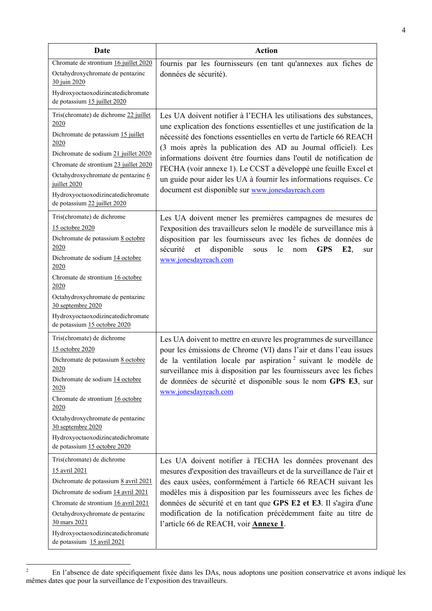| Date                                                                                                                                                                                                                                                                                                            | <b>Action</b>                                                                                                                                                                                                                                                                                                                                                                                                                                                                                                                                           |
|-----------------------------------------------------------------------------------------------------------------------------------------------------------------------------------------------------------------------------------------------------------------------------------------------------------------|---------------------------------------------------------------------------------------------------------------------------------------------------------------------------------------------------------------------------------------------------------------------------------------------------------------------------------------------------------------------------------------------------------------------------------------------------------------------------------------------------------------------------------------------------------|
| Chromate de strontium 16 juillet 2020<br>Octahydroxychromate de pentazinc<br>30 juin 2020                                                                                                                                                                                                                       | fournis par les fournisseurs (en tant qu'annexes aux fiches de<br>données de sécurité).                                                                                                                                                                                                                                                                                                                                                                                                                                                                 |
| Hydroxyoctaoxodizincatedichromate<br>de potassium 15 juillet 2020                                                                                                                                                                                                                                               |                                                                                                                                                                                                                                                                                                                                                                                                                                                                                                                                                         |
| Tris(chromate) de dichrome 22 juillet<br>2020<br>Dichromate de potassium 15 juillet<br>2020<br>Dichromate de sodium 21 juillet 2020<br>Chromate de strontium 23 juillet 2020<br>Octahydroxychromate de pentazinc 6<br>juillet 2020<br>Hydroxyoctaoxodizincatedichromate<br>de potassium 22 juillet 2020         | Les UA doivent notifier à l'ECHA les utilisations des substances,<br>une explication des fonctions essentielles et une justification de la<br>nécessité des fonctions essentielles en vertu de l'article 66 REACH<br>(3 mois après la publication des AD au Journal officiel). Les<br>informations doivent être fournies dans l'outil de notification de<br>l'ECHA (voir annexe 1). Le CCST a développé une feuille Excel et<br>un guide pour aider les UA à fournir les informations requises. Ce<br>document est disponible sur www.jonesdayreach.com |
| Tris(chromate) de dichrome<br>15 octobre 2020<br>Dichromate de potassium 8 octobre<br>2020<br>Dichromate de sodium 14 octobre<br>2020<br>Chromate de strontium 16 octobre<br>2020<br>Octahydroxychromate de pentazinc<br>30 septembre 2020<br>Hydroxyoctaoxodizincatedichromate<br>de potassium 15 octobre 2020 | Les UA doivent mener les premières campagnes de mesures de<br>l'exposition des travailleurs selon le modèle de surveillance mis à<br>disposition par les fournisseurs avec les fiches de données de<br>sécurité<br>et<br>disponible<br>le<br><b>GPS</b><br>E2,<br>sous<br>nom<br>sur<br>www.jonesdayreach.com                                                                                                                                                                                                                                           |
| Tris(chromate) de dichrome<br>15 octobre 2020<br>Dichromate de potassium 8 octobre<br>2020<br>Dichromate de sodium 14 octobre<br>2020<br>Chromate de strontium 16 octobre<br>2020<br>Octahydroxychromate de pentazinc<br>30 septembre 2020<br>Hydroxyoctaoxodizincatedichromate<br>de potassium 15 octobre 2020 | Les UA doivent to mettre en œuvre les programmes de surveillance<br>pour les émissions de Chrome (VI) dans l'air et dans l'eau issues<br>de la ventilation locale par aspiration <sup>2</sup> suivant le modèle de<br>surveillance mis à disposition par les fournisseurs avec les fiches<br>de données de sécurité et disponible sous le nom GPS E3, sur<br>www.jonesdayreach.com                                                                                                                                                                      |
| Tris(chromate) de dichrome<br>15 avril 2021<br>Dichromate de potassium 8 avril 2021<br>Dichromate de sodium 14 avril 2021<br>Chromate de strontium 16 avril 2021<br>Octahydroxychromate de pentazinc<br>30 mars 2021<br>Hydroxyoctaoxodizincatedichromate<br>de potassium 15 avril 2021                         | Les UA doivent notifier à l'ECHA les données provenant des<br>mesures d'exposition des travailleurs et de la surveillance de l'air et<br>des eaux usées, conformément à l'article 66 REACH suivant les<br>modèles mis à disposition par les fournisseurs avec les fiches de<br>données de sécurité et en tant que GPS E2 et E3. Il s'agira d'une<br>modification de la notification précédemment faite au titre de<br>l'article 66 de REACH, voir Annexe 1.                                                                                             |

En l'absence de date spécifiquement fixée dans les DAs, nous adoptons une position conservatrice et avons indiqué les mêmes dates que pour la surveillance de l'exposition des travailleurs.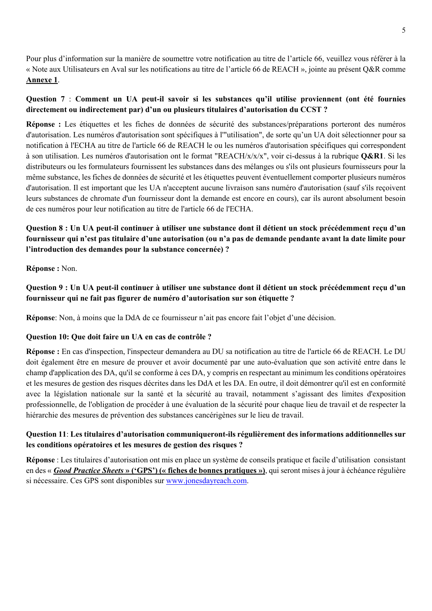Pour plus d'information sur la manière de soumettre votre notification au titre de l'article 66, veuillez vous référer à la « Note aux Utilisateurs en Aval sur les notifications au titre de l'article 66 de REACH », jointe au présent Q&R comme **Annexe 1**.

## **Question 7** : **Comment un UA peut-il savoir si les substances qu'il utilise proviennent (ont été fournies directement ou indirectement par) d'un ou plusieurs titulaires d'autorisation du CCST ?**

**Réponse :** Les étiquettes et les fiches de données de sécurité des substances/préparations porteront des numéros d'autorisation. Les numéros d'autorisation sont spécifiques à l'"utilisation", de sorte qu'un UA doit sélectionner pour sa notification à l'ECHA au titre de l'article 66 de REACH le ou les numéros d'autorisation spécifiques qui correspondent à son utilisation. Les numéros d'autorisation ont le format "REACH/x/x/x", voir ci-dessus à la rubrique **Q&R1**. Si les distributeurs ou les formulateurs fournissent les substances dans des mélanges ou s'ils ont plusieurs fournisseurs pour la même substance, les fiches de données de sécurité et les étiquettes peuvent éventuellement comporter plusieurs numéros d'autorisation. Il est important que les UA n'acceptent aucune livraison sans numéro d'autorisation (sauf s'ils reçoivent leurs substances de chromate d'un fournisseur dont la demande est encore en cours), car ils auront absolument besoin de ces numéros pour leur notification au titre de l'article 66 de l'ECHA.

# **Question 8 : Un UA peut-il continuer à utiliser une substance dont il détient un stock précédemment reçu d'un fournisseur qui n'est pas titulaire d'une autorisation (ou n'a pas de demande pendante avant la date limite pour l'introduction des demandes pour la substance concernée) ?**

**Réponse :** Non.

## **Question 9 : Un UA peut-il continuer à utiliser une substance dont il détient un stock précédemment reçu d'un fournisseur qui ne fait pas figurer de numéro d'autorisation sur son étiquette ?**

**Réponse**: Non, à moins que la DdA de ce fournisseur n'ait pas encore fait l'objet d'une décision.

### **Question 10: Que doit faire un UA en cas de contrôle ?**

**Réponse :** En cas d'inspection, l'inspecteur demandera au DU sa notification au titre de l'article 66 de REACH. Le DU doit également être en mesure de prouver et avoir documenté par une auto-évaluation que son activité entre dans le champ d'application des DA, qu'il se conforme à ces DA, y compris en respectant au minimum les conditions opératoires et les mesures de gestion des risques décrites dans les DdA et les DA. En outre, il doit démontrer qu'il est en conformité avec la législation nationale sur la santé et la sécurité au travail, notamment s'agissant des limites d'exposition professionnelle, de l'obligation de procéder à une évaluation de la sécurité pour chaque lieu de travail et de respecter la hiérarchie des mesures de prévention des substances cancérigènes sur le lieu de travail.

## **Question 11**: **Les titulaires d'autorisation communiqueront-ils régulièrement des informations additionnelles sur les conditions opératoires et les mesures de gestion des risques ?**

**Réponse** : Les titulaires d'autorisation ont mis en place un système de conseils pratique et facile d'utilisation consistant en des « *Good Practice Sheets* **» ('GPS') (« fiches de bonnes pratiques »)**, qui seront mises à jour à échéance régulière si nécessaire. Ces GPS sont disponibles sur www.jonesdayreach.com.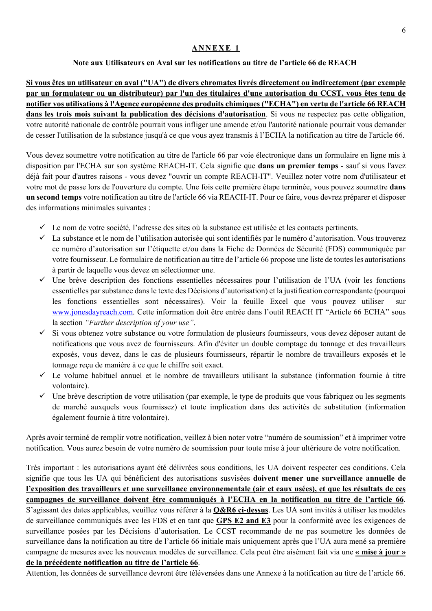### **ANNEXE 1**

### **Note aux Utilisateurs en Aval sur les notifications au titre de l'article 66 de REACH**

**Si vous êtes un utilisateur en aval ("UA") de divers chromates livrés directement ou indirectement (par exemple par un formulateur ou un distributeur) par l'un des titulaires d'une autorisation du CCST, vous êtes tenu de notifier vos utilisations à l'Agence européenne des produits chimiques ("ECHA") en vertu de l'article 66 REACH dans les trois mois suivant la publication des décisions d'autorisation**. Si vous ne respectez pas cette obligation, votre autorité nationale de contrôle pourrait vous infliger une amende et/ou l'autorité nationale pourrait vous demander de cesser l'utilisation de la substance jusqu'à ce que vous ayez transmis à l'ECHA la notification au titre de l'article 66.

Vous devez soumettre votre notification au titre de l'article 66 par voie électronique dans un formulaire en ligne mis à disposition par l'ECHA sur son système REACH-IT. Cela signifie que **dans un premier temps** - sauf si vous l'avez déjà fait pour d'autres raisons - vous devez "ouvrir un compte REACH-IT". Veuillez noter votre nom d'utilisateur et votre mot de passe lors de l'ouverture du compte. Une fois cette première étape terminée, vous pouvez soumettre **dans un second temps** votre notification au titre de l'article 66 via REACH-IT. Pour ce faire, vous devrez préparer et disposer des informations minimales suivantes :

- $\checkmark$  Le nom de votre société, l'adresse des sites où la substance est utilisée et les contacts pertinents.
- $\checkmark$  La substance et le nom de l'utilisation autorisée qui sont identifiés par le numéro d'autorisation. Vous trouverez ce numéro d'autorisation sur l'étiquette et/ou dans la Fiche de Données de Sécurité (FDS) communiquée par votre fournisseur. Le formulaire de notification au titre de l'article 66 propose une liste de toutes les autorisations à partir de laquelle vous devez en sélectionner une.
- Une brève description des fonctions essentielles nécessaires pour l'utilisation de l'UA (voir les fonctions essentielles par substance dans le texte des Décisions d'autorisation) et la justification correspondante (pourquoi les fonctions essentielles sont nécessaires). Voir la feuille Excel que vous pouvez utiliser www.jonesdayreach.com. Cette information doit être entrée dans l'outil REACH IT "Article 66 ECHA" sous la section *"Further description of your use"*.
- Si vous obtenez votre substance ou votre formulation de plusieurs fournisseurs, vous devez déposer autant de notifications que vous avez de fournisseurs. Afin d'éviter un double comptage du tonnage et des travailleurs exposés, vous devez, dans le cas de plusieurs fournisseurs, répartir le nombre de travailleurs exposés et le tonnage reçu de manière à ce que le chiffre soit exact.
- $\checkmark$  Le volume habituel annuel et le nombre de travailleurs utilisant la substance (information fournie à titre volontaire).
- $\checkmark$  Une brève description de votre utilisation (par exemple, le type de produits que vous fabriquez ou les segments de marché auxquels vous fournissez) et toute implication dans des activités de substitution (information également fournie à titre volontaire).

Après avoir terminé de remplir votre notification, veillez à bien noter votre "numéro de soumission" et à imprimer votre notification. Vous aurez besoin de votre numéro de soumission pour toute mise à jour ultérieure de votre notification.

Très important : les autorisations ayant été délivrées sous conditions, les UA doivent respecter ces conditions. Cela signifie que tous les UA qui bénéficient des autorisations susvisées **doivent mener une surveillance annuelle de l'exposition des travailleurs et une surveillance environnementale (air et eaux usées), et que les résultats de ces campagnes de surveillance doivent être communiqués à l'ECHA en la notification au titre de l'article 66**. S'agissant des dates applicables, veuillez vous référer à la **Q&R6 ci-dessus**. Les UA sont invités à utiliser les modèles de surveillance communiqués avec les FDS et en tant que **GPS E2 and E3** pour la conformité avec les exigences de surveillance posées par les Décisions d'autorisation. Le CCST recommande de ne pas soumettre les données de surveillance dans la notification au titre de l'article 66 initiale mais uniquement après que l'UA aura mené sa première campagne de mesures avec les nouveaux modèles de surveillance. Cela peut être aisément fait via une **« mise à jour » de la précédente notification au titre de l'article 66**.

Attention, les données de surveillance devront être téléversées dans une Annexe à la notification au titre de l'article 66.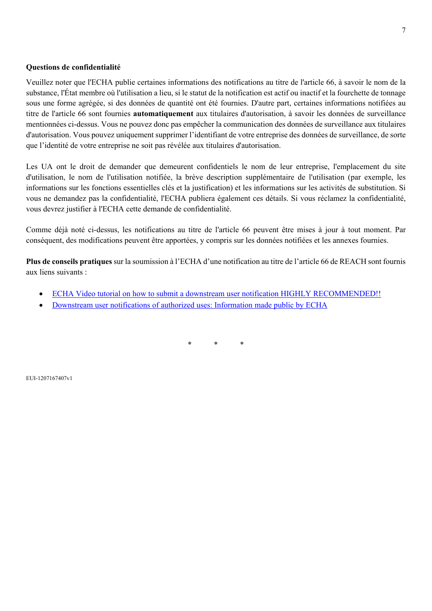#### **Questions de confidentialité**

Veuillez noter que l'ECHA publie certaines informations des notifications au titre de l'article 66, à savoir le nom de la substance, l'État membre où l'utilisation a lieu, si le statut de la notification est actif ou inactif et la fourchette de tonnage sous une forme agrégée, si des données de quantité ont été fournies. D'autre part, certaines informations notifiées au titre de l'article 66 sont fournies **automatiquement** aux titulaires d'autorisation, à savoir les données de surveillance mentionnées ci-dessus. Vous ne pouvez donc pas empêcher la communication des données de surveillance aux titulaires d'autorisation. Vous pouvez uniquement supprimer l'identifiant de votre entreprise des données de surveillance, de sorte que l'identité de votre entreprise ne soit pas révélée aux titulaires d'autorisation.

Les UA ont le droit de demander que demeurent confidentiels le nom de leur entreprise, l'emplacement du site d'utilisation, le nom de l'utilisation notifiée, la brève description supplémentaire de l'utilisation (par exemple, les informations sur les fonctions essentielles clés et la justification) et les informations sur les activités de substitution. Si vous ne demandez pas la confidentialité, l'ECHA publiera également ces détails. Si vous réclamez la confidentialité, vous devrez justifier à l'ECHA cette demande de confidentialité.

Comme déjà noté ci-dessus, les notifications au titre de l'article 66 peuvent être mises à jour à tout moment. Par conséquent, des modifications peuvent être apportées, y compris sur les données notifiées et les annexes fournies.

**Plus de conseils pratiques** sur la soumission à l'ECHA d'une notification au titre de l'article 66 de REACH sont fournis aux liens suivants :

- ECHA Video tutorial on how to submit a downstream user notification HIGHLY RECOMMENDED!!
- Downstream user notifications of authorized uses: Information made public by ECHA

\* \* \*

EUI-1207167407v1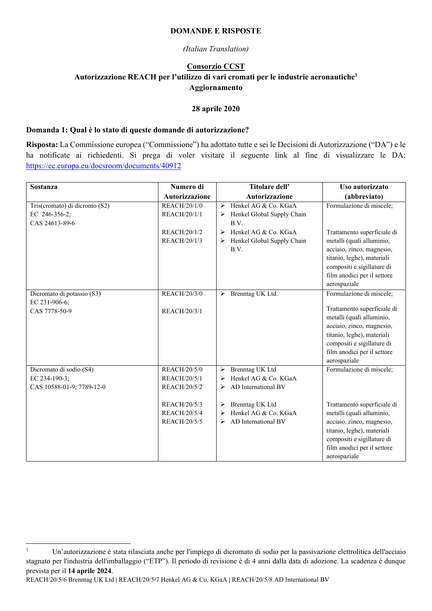#### **DOMANDE E RISPOSTE**

#### *(Italian Translation)*

### **Consorzio CCST Autorizzazione REACH per l'utilizzo di vari cromati per le industrie aeronautiche1 Aggiornamento**

#### **28 aprile 2020**

#### **Domanda 1: Qual è lo stato di queste domande di autorizzazione?**

**Risposta:** La Commissione europea ("Commissione") ha adottato tutte e sei le Decisioni di Autorizzazione ("DA") e le ha notificate ai richiedenti. Si prega di voler visitare il seguente link al fine di visualizzare le DA: https://ec.europa.eu/docsroom/documents/40912

| <b>Sostanza</b>               | Numero di           | Titolare dell'<br>Uso autorizzato                                                |
|-------------------------------|---------------------|----------------------------------------------------------------------------------|
|                               | Autorizzazione      | Autorizzazione<br>(abbreviato)                                                   |
| Tris(cromato) di dicromo (S2) | REACH/20/1/0        | > Henkel AG & Co. KGaA<br>Formulazione di miscele;                               |
| EC 246-356-2;                 | REACH/20/1/1        | Henkel Global Supply Chain<br>➤                                                  |
| CAS 24613-89-6                |                     | B.V.                                                                             |
|                               | REACH/20/1/2        | Henkel AG & Co. KGaA<br>Trattamento superficiale di<br>➤                         |
|                               | REACH/20/1/3        | Henkel Global Supply Chain<br>metalli (quali alluminio,                          |
|                               |                     | acciaio, zinco, magnesio,<br>B.V.                                                |
|                               |                     | titanio, leghe), materiali                                                       |
|                               |                     | compositi e sigillature di                                                       |
|                               |                     | film anodici per il settore                                                      |
|                               |                     | aerospaziale                                                                     |
| Dicromato di potassio (S3)    | <b>REACH/20/3/0</b> | Formulazione di miscele;<br>Brenntag UK Ltd.<br>$\blacktriangleright$            |
| EC 231-906-6;                 |                     |                                                                                  |
| CAS 7778-50-9                 | REACH/20/3/1        | Trattamento superficiale di                                                      |
|                               |                     | metalli (quali alluminio,                                                        |
|                               |                     | acciaio, zinco, magnesio,                                                        |
|                               |                     | titanio, leghe), materiali                                                       |
|                               |                     | compositi e sigillature di                                                       |
|                               |                     | film anodici per il settore                                                      |
|                               |                     | aerospaziale                                                                     |
| Dicromato di sodio (S4)       | REACH/20/5/0        | Brenntag UK Ltd<br>Formulazione di miscele;<br>➤                                 |
| EC 234-190-3;                 | REACH/20/5/1        | Henkel AG & Co. KGaA<br>➤                                                        |
| CAS 10588-01-9; 7789-12-0     | REACH/20/5/2        | AD International BV<br>➤                                                         |
|                               | REACH/20/5/3        |                                                                                  |
|                               | REACH/20/5/4        | Brenntag UK Ltd<br>Trattamento superficiale di<br>➤<br>Henkel AG & Co. KGaA<br>≻ |
|                               | REACH/20/5/5        | metalli (quali alluminio,<br>AD International BV                                 |
|                               |                     | acciaio, zinco, magnesio,<br>⋗                                                   |
|                               |                     | titanio, leghe), materiali                                                       |
|                               |                     | compositi e sigillature di                                                       |
|                               |                     | film anodici per il settore                                                      |
|                               |                     | aerospaziale                                                                     |

REACH/20/5/6 Brenntag UK Ltd **|** REACH/20/5/7 Henkel AG & Co. KGaA **|** REACH/20/5/8 AD International BV

<sup>-</sup>1 Un'autorizzazione è stata rilasciata anche per l'impiego di dicromato di sodio per la passivazione elettrolitica dell'acciaio stagnato per l'industria dell'imballaggio ("ETP"). Il periodo di revisione è di 4 anni dalla data di adozione. La scadenza è dunque prevista per il **14 aprile 2024**.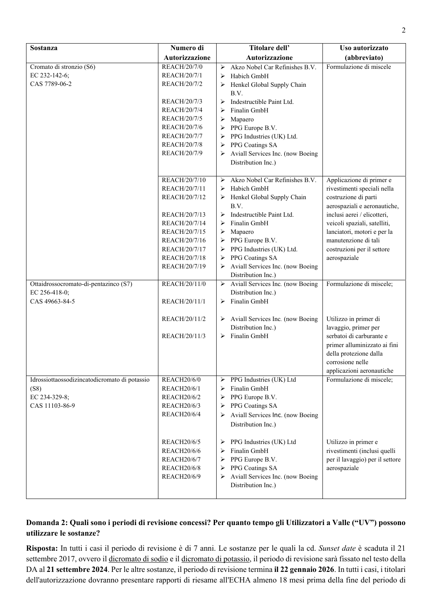| Sostanza                                      | Numero di                                | Titolare dell'                                                          | Uso autorizzato                                                 |
|-----------------------------------------------|------------------------------------------|-------------------------------------------------------------------------|-----------------------------------------------------------------|
|                                               | Autorizzazione                           | Autorizzazione                                                          | (abbreviato)                                                    |
| Cromato di stronzio (S6)                      | REACH/20/7/0                             | Akzo Nobel Car Refinishes B.V.<br>➤                                     | Formulazione di miscele                                         |
| EC 232-142-6;                                 | REACH/20/7/1                             | Habich GmbH<br>➤                                                        |                                                                 |
| CAS 7789-06-2                                 | REACH/20/7/2                             | Henkel Global Supply Chain<br>➤                                         |                                                                 |
|                                               |                                          | B.V.                                                                    |                                                                 |
|                                               | REACH/20/7/3                             | Indestructible Paint Ltd.<br>➤                                          |                                                                 |
|                                               | REACH/20/7/4                             | Finalin GmbH<br>⋗                                                       |                                                                 |
|                                               | REACH/20/7/5                             | Mapaero<br>➤                                                            |                                                                 |
|                                               | REACH/20/7/6                             | PPG Europe B.V.<br>➤                                                    |                                                                 |
|                                               | REACH/20/7/7                             | PPG Industries (UK) Ltd.<br>➤                                           |                                                                 |
|                                               | <b>REACH/20/7/8</b>                      | PPG Coatings SA<br>➤                                                    |                                                                 |
|                                               | REACH/20/7/9                             | Aviall Services Inc. (now Boeing                                        |                                                                 |
|                                               |                                          | Distribution Inc.)                                                      |                                                                 |
|                                               |                                          | Akzo Nobel Car Refinishes B.V.                                          |                                                                 |
|                                               | REACH/20/7/10                            | ➤<br>Habich GmbH                                                        | Applicazione di primer e<br>rivestimenti speciali nella         |
|                                               | REACH/20/7/11<br>REACH/20/7/12           | ➤<br>Henkel Global Supply Chain<br>➤                                    | costruzione di parti                                            |
|                                               |                                          | B.V.                                                                    | aerospaziali e aeronautiche,                                    |
|                                               | REACH/20/7/13                            | Indestructible Paint Ltd.<br>➤                                          | inclusi aerei / elicotteri,                                     |
|                                               | REACH/20/7/14                            | Finalin GmbH<br>➤                                                       | veicoli spaziali, satelliti,                                    |
|                                               | REACH/20/7/15                            | Mapaero<br>➤                                                            | lanciatori, motori e per la                                     |
|                                               | REACH/20/7/16                            | PPG Europe B.V.<br>➤                                                    | manutenzione di tali                                            |
|                                               | REACH/20/7/17                            | PPG Industries (UK) Ltd.<br>➤                                           | costruzioni per il settore                                      |
|                                               | REACH/20/7/18                            | PPG Coatings SA<br>➤                                                    | aerospaziale                                                    |
|                                               | REACH/20/7/19                            | Aviall Services Inc. (now Boeing                                        |                                                                 |
|                                               |                                          | Distribution Inc.)                                                      |                                                                 |
| Ottaidrossocromato-di-pentazinco (S7)         | REACH/20/11/0                            | $\triangleright$ Aviall Services Inc. (now Boeing                       | Formulazione di miscele;                                        |
| EC 256-418-0;                                 |                                          | Distribution Inc.)                                                      |                                                                 |
| CAS 49663-84-5                                | REACH/20/11/1                            | Finalin GmbH<br>➤                                                       |                                                                 |
|                                               |                                          |                                                                         |                                                                 |
|                                               | REACH/20/11/2                            | $\triangleright$ Aviall Services Inc. (now Boeing<br>Distribution Inc.) | Utilizzo in primer di<br>lavaggio, primer per                   |
|                                               | REACH/20/11/3                            | Finalin GmbH<br>➤                                                       | serbatoi di carburante e                                        |
|                                               |                                          |                                                                         | primer alluminizzato ai fini                                    |
|                                               |                                          |                                                                         | della protezione dalla                                          |
|                                               |                                          |                                                                         | corrosione nelle                                                |
|                                               |                                          |                                                                         | applicazioni aeronautiche                                       |
| Idrossiottaossodizincatodicromato di potassio | <b>REACH20/6/0</b>                       | PPG Industries (UK) Ltd<br>➤                                            | Formulazione di miscele;                                        |
| (S8)                                          | <b>REACH20/6/1</b>                       | Finalin GmbH<br>➤                                                       |                                                                 |
| EC 234-329-8;                                 | <b>REACH20/6/2</b>                       | PPG Europe B.V.<br>➤                                                    |                                                                 |
| CAS 11103-86-9                                | <b>REACH20/6/3</b>                       | PPG Coatings SA<br>➤                                                    |                                                                 |
|                                               | <b>REACH20/6/4</b>                       | Aviall Services Inc. (now Boeing<br>➤                                   |                                                                 |
|                                               |                                          | Distribution Inc.)                                                      |                                                                 |
|                                               |                                          |                                                                         |                                                                 |
|                                               | <b>REACH20/6/5</b><br><b>REACH20/6/6</b> | PPG Industries (UK) Ltd<br>➤<br>Finalin GmbH                            | Utilizzo in primer e                                            |
|                                               | <b>REACH20/6/7</b>                       | ⋗<br>PPG Europe B.V.<br>⋗                                               | rivestimenti (inclusi quelli<br>per il lavaggio) per il settore |
|                                               | <b>REACH20/6/8</b>                       | PPG Coatings SA<br>➤                                                    | aerospaziale                                                    |
|                                               | <b>REACH20/6/9</b>                       | Aviall Services Inc. (now Boeing<br>➤                                   |                                                                 |
|                                               |                                          | Distribution Inc.)                                                      |                                                                 |
|                                               |                                          |                                                                         |                                                                 |

## **Domanda 2: Quali sono i periodi di revisione concessi? Per quanto tempo gli Utilizzatori a Valle ("UV") possono utilizzare le sostanze?**

**Risposta:** In tutti i casi il periodo di revisione è di 7 anni. Le sostanze per le quali la cd. *Sunset date* è scaduta il 21 settembre 2017, ovvero il dicromato di sodio e il dicromato di potassio, il periodo di revisione sarà fissato nel testo della DA al **21 settembre 2024**. Per le altre sostanze, il periodo di revisione termina **il 22 gennaio 2026**. In tutti i casi, i titolari dell'autorizzazione dovranno presentare rapporti di riesame all'ECHA almeno 18 mesi prima della fine del periodo di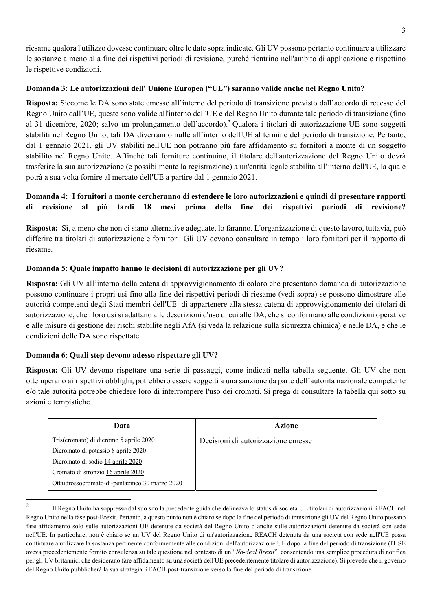riesame qualora l'utilizzo dovesse continuare oltre le date sopra indicate. Gli UV possono pertanto continuare a utilizzare le sostanze almeno alla fine dei rispettivi periodi di revisione, purché rientrino nell'ambito di applicazione e rispettino le rispettive condizioni.

## **Domanda 3: Le autorizzazioni dell' Unione Europea ("UE") saranno valide anche nel Regno Unito?**

**Risposta:** Siccome le DA sono state emesse all'interno del periodo di transizione previsto dall'accordo di recesso del Regno Unito dall'UE, queste sono valide all'interno dell'UE e del Regno Unito durante tale periodo di transizione (fino al 31 dicembre, 2020; salvo un prolungamento dell'accordo).<sup>2</sup> Qualora i titolari di autorizzazione UE sono soggetti stabiliti nel Regno Unito, tali DA diverranno nulle all'interno dell'UE al termine del periodo di transizione. Pertanto, dal 1 gennaio 2021, gli UV stabiliti nell'UE non potranno più fare affidamento su fornitori a monte di un soggetto stabilito nel Regno Unito. Affinché tali forniture continuino, il titolare dell'autorizzazione del Regno Unito dovrà trasferire la sua autorizzazione (e possibilmente la registrazione) a un'entità legale stabilita all'interno dell'UE, la quale potrà a sua volta fornire al mercato dell'UE a partire dal 1 gennaio 2021.

# **Domanda 4: I fornitori a monte cercheranno di estendere le loro autorizzazioni e quindi di presentare rapporti di revisione al più tardi 18 mesi prima della fine dei rispettivi periodi di revisione?**

**Risposta:** Sì, a meno che non ci siano alternative adeguate, lo faranno. L'organizzazione di questo lavoro, tuttavia, può differire tra titolari di autorizzazione e fornitori. Gli UV devono consultare in tempo i loro fornitori per il rapporto di riesame.

# **Domanda 5: Quale impatto hanno le decisioni di autorizzazione per gli UV?**

**Risposta:** Gli UV all'interno della catena di approvvigionamento di coloro che presentano domanda di autorizzazione possono continuare i propri usi fino alla fine dei rispettivi periodi di riesame (vedi sopra) se possono dimostrare alle autorità competenti degli Stati membri dell'UE: di appartenere alla stessa catena di approvvigionamento dei titolari di autorizzazione, che i loro usi si adattano alle descrizioni d'uso di cui alle DA, che si conformano alle condizioni operative e alle misure di gestione dei rischi stabilite negli AfA (si veda la relazione sulla sicurezza chimica) e nelle DA, e che le condizioni delle DA sono rispettate.

# **Domanda 6**: **Quali step devono adesso rispettare gli UV?**

**Risposta:** Gli UV devono rispettare una serie di passaggi, come indicati nella tabella seguente. Gli UV che non ottemperano ai rispettivi obblighi, potrebbero essere soggetti a una sanzione da parte dell'autorità nazionale competente e/o tale autorità potrebbe chiedere loro di interrompere l'uso dei cromati. Si prega di consultare la tabella qui sotto su azioni e tempistiche.

| Data                                           | <b>Azione</b>                      |
|------------------------------------------------|------------------------------------|
| Tris(cromato) di dicromo 5 aprile 2020         | Decisioni di autorizzazione emesse |
| Dicromato di potassio 8 aprile 2020            |                                    |
| Dicromato di sodio 14 aprile 2020              |                                    |
| Cromato di stronzio 16 aprile 2020             |                                    |
| Ottaidrossocromato-di-pentazinco 30 marzo 2020 |                                    |

 $\overline{2}$ 

<sup>2</sup> Il Regno Unito ha soppresso dal suo sito la precedente guida che delineava lo status di società UE titolari di autorizzazioni REACH nel Regno Unito nella fase post-Brexit. Pertanto, a questo punto non è chiaro se dopo la fine del periodo di transizione gli UV del Regno Unito possano fare affidamento solo sulle autorizzazioni UE detenute da società del Regno Unito o anche sulle autorizzazioni detenute da società con sede nell'UE. In particolare, non è chiaro se un UV del Regno Unito di un'autorizzazione REACH detenuta da una società con sede nell'UE possa continuare a utilizzare la sostanza pertinente conformemente alle condizioni dell'autorizzazione UE dopo la fine del periodo di transizione (l'HSE aveva precedentemente fornito consulenza su tale questione nel contesto di un "*No-deal Brexit*", consentendo una semplice procedura di notifica per gli UV britannici che desiderano fare affidamento su una società dell'UE precedentemente titolare di autorizzazione). Si prevede che il governo del Regno Unito pubblicherà la sua strategia REACH post-transizione verso la fine del periodo di transizione.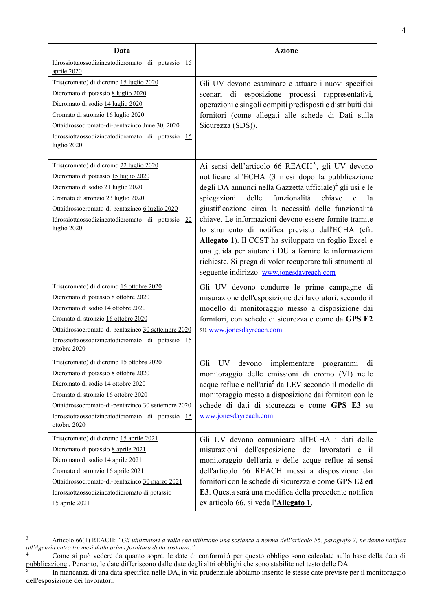| Data                                                                                                                                                                                                                                                                                    | <b>Azione</b>                                                                                                                                                                                                                                                                                                                                                                                                                                                                                                                                                                                                                                           |
|-----------------------------------------------------------------------------------------------------------------------------------------------------------------------------------------------------------------------------------------------------------------------------------------|---------------------------------------------------------------------------------------------------------------------------------------------------------------------------------------------------------------------------------------------------------------------------------------------------------------------------------------------------------------------------------------------------------------------------------------------------------------------------------------------------------------------------------------------------------------------------------------------------------------------------------------------------------|
| Idrossiottaossodizincatodicromato di potassio<br>15<br>aprile 2020                                                                                                                                                                                                                      |                                                                                                                                                                                                                                                                                                                                                                                                                                                                                                                                                                                                                                                         |
| Tris(cromato) di dicromo 15 luglio 2020<br>Dicromato di potassio 8 luglio 2020<br>Dicromato di sodio 14 luglio 2020<br>Cromato di stronzio 16 luglio 2020<br>Ottaidrossocromato-di-pentazinco June 30, 2020<br>Idrossiottaossodizincatodicromato di potassio<br>-15<br>luglio 2020      | Gli UV devono esaminare e attuare i nuovi specifici<br>esposizione<br>processi rappresentativi,<br>scenari di<br>operazioni e singoli compiti predisposti e distribuiti dai<br>fornitori (come allegati alle schede di Dati sulla<br>Sicurezza (SDS)).                                                                                                                                                                                                                                                                                                                                                                                                  |
| Tris(cromato) di dicromo 22 luglio 2020<br>Dicromato di potassio 15 luglio 2020<br>Dicromato di sodio 21 luglio 2020<br>Cromato di stronzio 23 luglio 2020<br>Ottaidrossocromato-di-pentazinco 6 luglio 2020<br>Idrossiottaossodizincatodicromato di potassio<br>22<br>luglio $2020$    | Ai sensi dell'articolo 66 REACH <sup>3</sup> , gli UV devono<br>notificare all'ECHA (3 mesi dopo la pubblicazione<br>degli DA annunci nella Gazzetta ufficiale) <sup>4</sup> gli usi e le<br>spiegazioni<br>delle<br>funzionalità<br>chiave<br>la<br>ė<br>giustificazione circa la necessità delle funzionalità<br>chiave. Le informazioni devono essere fornite tramite<br>lo strumento di notifica previsto dall'ECHA (cfr.<br>Allegato 1). Il CCST ha sviluppato un foglio Excel e<br>una guida per aiutare i DU a fornire le informazioni<br>richieste. Si prega di voler recuperare tali strumenti al<br>seguente indirizzo: www.jonesdayreach.com |
| Tris(cromato) di dicromo 15 ottobre 2020<br>Dicromato di potassio 8 ottobre 2020<br>Dicromato di sodio 14 ottobre 2020<br>Cromato di stronzio 16 ottobre 2020<br>Ottaidrossocromato-di-pentazinco 30 settembre 2020<br>Idrossiottaossodizincatodicromato di potassio 15<br>ottobre 2020 | Gli UV devono condurre le prime campagne di<br>misurazione dell'esposizione dei lavoratori, secondo il<br>modello di monitoraggio messo a disposizione dai<br>fornitori, con schede di sicurezza e come da GPS E2<br>su www.jonesdayreach.com                                                                                                                                                                                                                                                                                                                                                                                                           |
| Tris(cromato) di dicromo 15 ottobre 2020<br>Dicromato di potassio 8 ottobre 2020<br>Dicromato di sodio 14 ottobre 2020<br>Cromato di stronzio 16 ottobre 2020<br>Ottaidrossocromato-di-pentazinco 30 settembre 2020<br>Idrossiottaossodizincatodicromato di potassio 15<br>ottobre 2020 | Gli<br>UV<br>devono<br>implementare<br>di<br>programmi<br>monitoraggio delle emissioni di cromo (VI) nelle<br>acque reflue e nell'aria <sup>5</sup> da LEV secondo il modello di<br>monitoraggio messo a disposizione dai fornitori con le<br>schede di dati di sicurezza e come GPS E3 su<br>www.jonesdayreach.com                                                                                                                                                                                                                                                                                                                                     |
| Tris(cromato) di dicromo 15 aprile 2021<br>Dicromato di potassio 8 aprile 2021<br>Dicromato di sodio 14 aprile 2021<br>Cromato di stronzio 16 aprile 2021<br>Ottaidrossocromato-di-pentazinco 30 marzo 2021<br>Idrossiottaossodizincatodicromato di potassio<br>15 aprile 2021          | Gli UV devono comunicare all'ECHA i dati delle<br>misurazioni dell'esposizione dei lavoratori<br>e il<br>monitoraggio dell'aria e delle acque reflue ai sensi<br>dell'articolo 66 REACH messi a disposizione dai<br>fornitori con le schede di sicurezza e come GPS E2 ed<br>E3. Questa sarà una modifica della precedente notifica<br>ex articolo 66, si veda l'Allegato 1.                                                                                                                                                                                                                                                                            |

 $\frac{1}{3}$  Articolo 66(1) REACH: *"Gli utilizzatori a valle che utilizzano una sostanza a norma dell'articolo 56, paragrafo 2, ne danno notifica all'Agenzia entro tre mesi dalla prima fornitura della sostanza."*

<sup>4</sup> Come si può vedere da quanto sopra, le date di conformità per questo obbligo sono calcolate sulla base della data di pubblicazione . Pertanto, le date differiscono dalle date degli altri obblighi che sono stabilite nel testo delle DA. 5

In mancanza di una data specifica nelle DA, in via prudenziale abbiamo inserito le stesse date previste per il monitoraggio dell'esposizione dei lavoratori.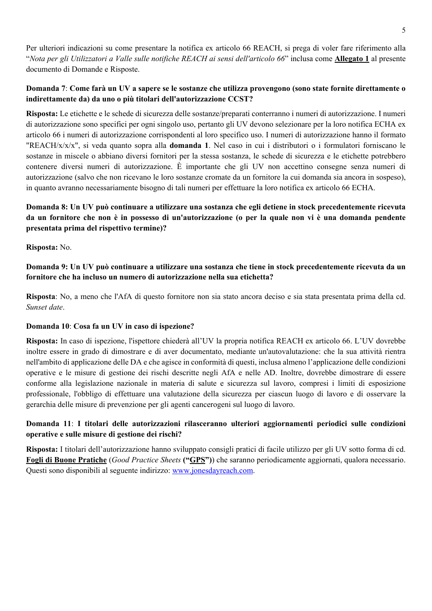Per ulteriori indicazioni su come presentare la notifica ex articolo 66 REACH, si prega di voler fare riferimento alla "*Nota per gli Utilizzatori a Valle sulle notifiche REACH ai sensi dell'articolo 66*" inclusa come **Allegato 1** al presente documento di Domande e Risposte.

## **Domanda 7**: **Come farà un UV a sapere se le sostanze che utilizza provengono (sono state fornite direttamente o indirettamente da) da uno o più titolari dell'autorizzazione CCST?**

**Risposta:** Le etichette e le schede di sicurezza delle sostanze/preparati conterranno i numeri di autorizzazione. I numeri di autorizzazione sono specifici per ogni singolo uso, pertanto gli UV devono selezionare per la loro notifica ECHA ex articolo 66 i numeri di autorizzazione corrispondenti al loro specifico uso. I numeri di autorizzazione hanno il formato "REACH/x/x/x", si veda quanto sopra alla **domanda 1**. Nel caso in cui i distributori o i formulatori forniscano le sostanze in miscele o abbiano diversi fornitori per la stessa sostanza, le schede di sicurezza e le etichette potrebbero contenere diversi numeri di autorizzazione. È importante che gli UV non accettino consegne senza numeri di autorizzazione (salvo che non ricevano le loro sostanze cromate da un fornitore la cui domanda sia ancora in sospeso), in quanto avranno necessariamente bisogno di tali numeri per effettuare la loro notifica ex articolo 66 ECHA.

# **Domanda 8: Un UV può continuare a utilizzare una sostanza che egli detiene in stock precedentemente ricevuta da un fornitore che non è in possesso di un'autorizzazione (o per la quale non vi è una domanda pendente presentata prima del rispettivo termine)?**

**Risposta:** No.

**Domanda 9: Un UV può continuare a utilizzare una sostanza che tiene in stock precedentemente ricevuta da un fornitore che ha incluso un numero di autorizzazione nella sua etichetta?** 

**Risposta**: No, a meno che l'AfA di questo fornitore non sia stato ancora deciso e sia stata presentata prima della cd. *Sunset date*.

### **Domanda 10**: **Cosa fa un UV in caso di ispezione?**

**Risposta:** In caso di ispezione, l'ispettore chiederà all'UV la propria notifica REACH ex articolo 66. L'UV dovrebbe inoltre essere in grado di dimostrare e di aver documentato, mediante un'autovalutazione: che la sua attività rientra nell'ambito di applicazione delle DA e che agisce in conformità di questi, inclusa almeno l'applicazione delle condizioni operative e le misure di gestione dei rischi descritte negli AfA e nelle AD. Inoltre, dovrebbe dimostrare di essere conforme alla legislazione nazionale in materia di salute e sicurezza sul lavoro, compresi i limiti di esposizione professionale, l'obbligo di effettuare una valutazione della sicurezza per ciascun luogo di lavoro e di osservare la gerarchia delle misure di prevenzione per gli agenti cancerogeni sul luogo di lavoro.

## **Domanda 11**: **I titolari delle autorizzazioni rilasceranno ulteriori aggiornamenti periodici sulle condizioni operative e sulle misure di gestione dei rischi?**

**Risposta:** I titolari dell'autorizzazione hanno sviluppato consigli pratici di facile utilizzo per gli UV sotto forma di cd. **Fogli di Buone Pratiche** (*Good Practice Sheets* **("GPS")**) che saranno periodicamente aggiornati, qualora necessario. Questi sono disponibili al seguente indirizzo: www.jonesdayreach.com.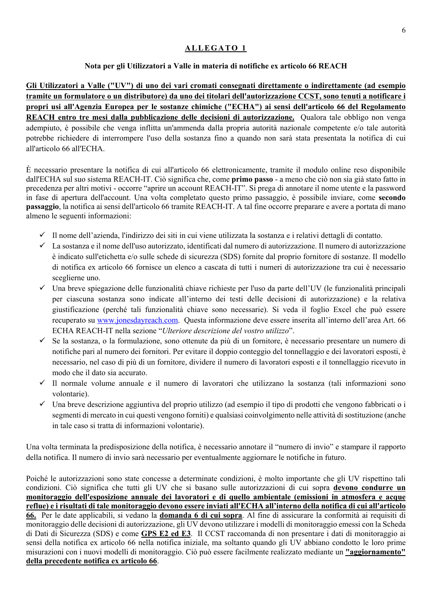## **ALLEGATO 1**

## **Nota per gli Utilizzatori a Valle in materia di notifiche ex articolo 66 REACH**

**Gli Utilizzatori a Valle ("UV") di uno dei vari cromati consegnati direttamente o indirettamente (ad esempio tramite un formulatore o un distributore) da uno dei titolari dell'autorizzazione CCST, sono tenuti a notificare i propri usi all'Agenzia Europea per le sostanze chimiche ("ECHA") ai sensi dell'articolo 66 del Regolamento REACH entro tre mesi dalla pubblicazione delle decisioni di autorizzazione.** Qualora tale obbligo non venga adempiuto, è possibile che venga inflitta un'ammenda dalla propria autorità nazionale competente e/o tale autorità potrebbe richiedere di interrompere l'uso della sostanza fino a quando non sarà stata presentata la notifica di cui all'articolo 66 all'ECHA.

È necessario presentare la notifica di cui all'articolo 66 elettronicamente, tramite il modulo online reso disponibile dall'ECHA sul suo sistema REACH-IT. Ciò significa che, come **primo passo** - a meno che ciò non sia già stato fatto in precedenza per altri motivi - occorre "aprire un account REACH-IT". Si prega di annotare il nome utente e la password in fase di apertura dell'account. Una volta completato questo primo passaggio, è possibile inviare, come **secondo passaggio**, la notifica ai sensi dell'articolo 66 tramite REACH-IT. A tal fine occorre preparare e avere a portata di mano almeno le seguenti informazioni:

- $\checkmark$  Il nome dell'azienda, l'indirizzo dei siti in cui viene utilizzata la sostanza e i relativi dettagli di contatto.
- $\checkmark$  La sostanza e il nome dell'uso autorizzato, identificati dal numero di autorizzazione. Il numero di autorizzazione è indicato sull'etichetta e/o sulle schede di sicurezza (SDS) fornite dal proprio fornitore di sostanze. Il modello di notifica ex articolo 66 fornisce un elenco a cascata di tutti i numeri di autorizzazione tra cui è necessario sceglierne uno.
- $\checkmark$  Una breve spiegazione delle funzionalità chiave richieste per l'uso da parte dell'UV (le funzionalità principali per ciascuna sostanza sono indicate all'interno dei testi delle decisioni di autorizzazione) e la relativa giustificazione (perché tali funzionalità chiave sono necessarie). Si veda il foglio Excel che può essere recuperato su www.jonesdayreach.com. Questa informazione deve essere inserita all'interno dell'area Art. 66 ECHA REACH-IT nella sezione "*Ulteriore descrizione del vostro utilizzo*".
- $\checkmark$  Se la sostanza, o la formulazione, sono ottenute da più di un fornitore, è necessario presentare un numero di notifiche pari al numero dei fornitori. Per evitare il doppio conteggio del tonnellaggio e dei lavoratori esposti, è necessario, nel caso di più di un fornitore, dividere il numero di lavoratori esposti e il tonnellaggio ricevuto in modo che il dato sia accurato.
- $\checkmark$  Il normale volume annuale e il numero di lavoratori che utilizzano la sostanza (tali informazioni sono volontarie).
- $\checkmark$  Una breve descrizione aggiuntiva del proprio utilizzo (ad esempio il tipo di prodotti che vengono fabbricati o i segmenti di mercato in cui questi vengono forniti) e qualsiasi coinvolgimento nelle attività di sostituzione (anche in tale caso si tratta di informazioni volontarie).

Una volta terminata la predisposizione della notifica, è necessario annotare il "numero di invio" e stampare il rapporto della notifica. Il numero di invio sarà necessario per eventualmente aggiornare le notifiche in futuro.

Poiché le autorizzazioni sono state concesse a determinate condizioni, è molto importante che gli UV rispettino tali condizioni. Ciò significa che tutti gli UV che si basano sulle autorizzazioni di cui sopra **devono condurre un monitoraggio dell'esposizione annuale dei lavoratori e di quello ambientale (emissioni in atmosfera e acque reflue) e i risultati di tale monitoraggio devono essere inviati all'ECHA all'interno della notifica di cui all'articolo 66.** Per le date applicabili, si vedano la **domanda 6 di cui sopra**. Al fine di assicurare la conformità ai requisiti di monitoraggio delle decisioni di autorizzazione, gli UV devono utilizzare i modelli di monitoraggio emessi con la Scheda di Dati di Sicurezza (SDS) e come **GPS E2 ed E3**. Il CCST raccomanda di non presentare i dati di monitoraggio ai sensi della notifica ex articolo 66 nella notifica iniziale, ma soltanto quando gli UV abbiano condotto le loro prime misurazioni con i nuovi modelli di monitoraggio. Ciò può essere facilmente realizzato mediante un **"aggiornamento" della precedente notifica ex articolo 66**.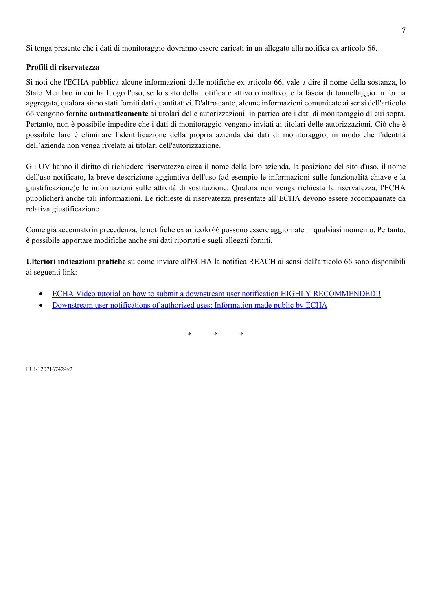Si tenga presente che i dati di monitoraggio dovranno essere caricati in un allegato alla notifica ex articolo 66.

### **Profili di riservatezza**

Si noti che l'ECHA pubblica alcune informazioni dalle notifiche ex articolo 66, vale a dire il nome della sostanza, lo Stato Membro in cui ha luogo l'uso, se lo stato della notifica è attivo o inattivo, e la fascia di tonnellaggio in forma aggregata, qualora siano stati forniti dati quantitativi. D'altro canto, alcune informazioni comunicate ai sensi dell'articolo 66 vengono fornite **automaticamente** ai titolari delle autorizzazioni, in particolare i dati di monitoraggio di cui sopra. Pertanto, non è possibile impedire che i dati di monitoraggio vengano inviati ai titolari delle autorizzazioni. Ciò che è possibile fare è eliminare l'identificazione della propria azienda dai dati di monitoraggio, in modo che l'identità dell'azienda non venga rivelata ai titolari dell'autorizzazione.

Gli UV hanno il diritto di richiedere riservatezza circa il nome della loro azienda, la posizione del sito d'uso, il nome dell'uso notificato, la breve descrizione aggiuntiva dell'uso (ad esempio le informazioni sulle funzionalità chiave e la giustificazione)e le informazioni sulle attività di sostituzione. Qualora non venga richiesta la riservatezza, l'ECHA pubblicherà anche tali informazioni. Le richieste di riservatezza presentate all'ECHA devono essere accompagnate da relativa giustificazione.

Come già accennato in precedenza, le notifiche ex articolo 66 possono essere aggiornate in qualsiasi momento. Pertanto, è possibile apportare modifiche anche sui dati riportati e sugli allegati forniti.

**Ulteriori indicazioni pratiche** su come inviare all'ECHA la notifica REACH ai sensi dell'articolo 66 sono disponibili ai seguenti link:

- ECHA Video tutorial on how to submit a downstream user notification HIGHLY RECOMMENDED!!
- Downstream user notifications of authorized uses: Information made public by ECHA

\* \* \*

EUI-1207167424v2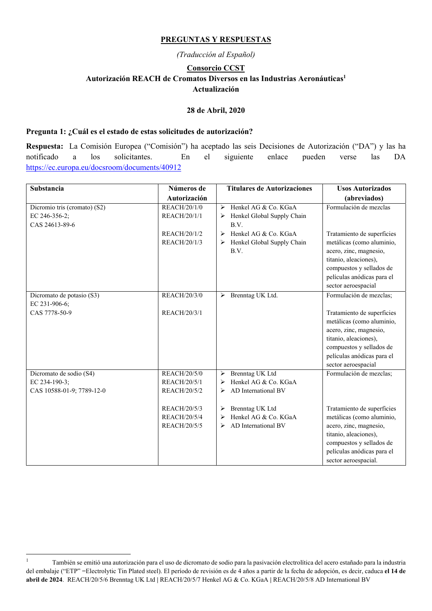#### **PREGUNTAS Y RESPUESTAS**

*(Traducción al Español)* 

## **Consorcio CCST Autorización REACH de Cromatos Diversos en las Industrias Aeronáuticas1 Actualización**

#### **28 de Abril, 2020**

#### **Pregunta 1: ¿Cuál es el estado de estas solicitudes de autorización?**

**Respuesta:** La Comisión Europea ("Comisión") ha aceptado las seis Decisiones de Autorización ("DA") y las ha notificado a los solicitantes. En el siguiente enlace pueden verse las DA https://ec.europa.eu/docsroom/documents/40912

| <b>Substancia</b>            | Números de          | <b>Titulares de Autorizaciones</b>            | <b>Usos Autorizados</b>    |
|------------------------------|---------------------|-----------------------------------------------|----------------------------|
|                              | Autorización        |                                               | (abreviados)               |
| Dicromio tris (cromato) (S2) | REACH/20/1/0        | Henkel AG & Co. KGaA<br>$\blacktriangleright$ | Formulación de mezclas     |
| EC 246-356-2;                | REACH/20/1/1        | Henkel Global Supply Chain<br>➤               |                            |
| CAS 24613-89-6               |                     | B.V.                                          |                            |
|                              | REACH/20/1/2        | Henkel AG & Co. KGaA<br>➤                     | Tratamiento de superficies |
|                              | REACH/20/1/3        | Henkel Global Supply Chain<br>➤               | metálicas (como aluminio,  |
|                              |                     | B.V.                                          | acero, zinc, magnesio,     |
|                              |                     |                                               | titanio, aleaciones),      |
|                              |                     |                                               | compuestos y sellados de   |
|                              |                     |                                               | películas anódicas para el |
|                              |                     |                                               | sector aeroespacial        |
| Dicromato de potasio (S3)    | <b>REACH/20/3/0</b> | > Brenntag UK Ltd.                            | Formulación de mezclas;    |
| EC 231-906-6;                |                     |                                               |                            |
| CAS 7778-50-9                | REACH/20/3/1        |                                               | Tratamiento de superficies |
|                              |                     |                                               | metálicas (como aluminio,  |
|                              |                     |                                               | acero, zinc, magnesio,     |
|                              |                     |                                               | titanio, aleaciones),      |
|                              |                     |                                               | compuestos y sellados de   |
|                              |                     |                                               | películas anódicas para el |
|                              |                     |                                               | sector aeroespacial        |
| Dicromato de sodio (S4)      | REACH/20/5/0        | Brenntag UK Ltd<br>➤                          | Formulación de mezclas;    |
| EC 234-190-3:                | REACH/20/5/1        | Henkel AG & Co. KGaA<br>➤                     |                            |
| CAS 10588-01-9; 7789-12-0    | REACH/20/5/2        | AD International BV<br>≻                      |                            |
|                              |                     |                                               |                            |
|                              | REACH/20/5/3        | Brenntag UK Ltd<br>➤                          | Tratamiento de superficies |
|                              | REACH/20/5/4        | Henkel AG & Co. KGaA<br>➤                     | metálicas (como aluminio,  |
|                              | REACH/20/5/5        | AD International BV<br>≻                      | acero, zinc, magnesio,     |
|                              |                     |                                               | titanio, aleaciones),      |
|                              |                     |                                               | compuestos y sellados de   |
|                              |                     |                                               | películas anódicas para el |
|                              |                     |                                               | sector aeroespacial.       |

 $\frac{1}{1}$  También se emitió una autorización para el uso de dicromato de sodio para la pasivación electrolítica del acero estañado para la industria del embalaje ("ETP" =Electrolytic Tin Plated steel). El período de revisión es de 4 años a partir de la fecha de adopción, es decir, caduca **el 14 de abril de 2024**. REACH/20/5/6 Brenntag UK Ltd **|** REACH/20/5/7 Henkel AG & Co. KGaA **|** REACH/20/5/8 AD International BV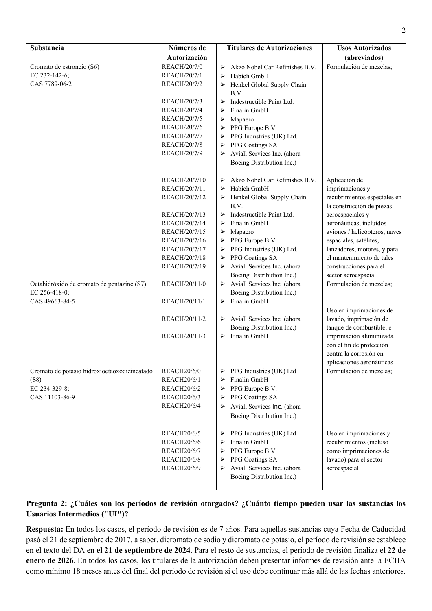| Substancia                                   | Números de          | <b>Titulares de Autorizaciones</b>        | <b>Usos Autorizados</b>                            |
|----------------------------------------------|---------------------|-------------------------------------------|----------------------------------------------------|
|                                              | Autorización        |                                           | (abreviados)                                       |
| Cromato de estroncio (S6)                    | REACH/20/7/0        | Akzo Nobel Car Refinishes B.V.<br>➤       | Formulación de mezclas;                            |
| EC 232-142-6;                                | REACH/20/7/1        | Habich GmbH<br>➤                          |                                                    |
| CAS 7789-06-2                                | REACH/20/7/2        | Henkel Global Supply Chain<br>➤           |                                                    |
|                                              |                     | B.V.                                      |                                                    |
|                                              | REACH/20/7/3        | Indestructible Paint Ltd.<br>➤            |                                                    |
|                                              | REACH/20/7/4        | Finalin GmbH<br>➤                         |                                                    |
|                                              | REACH/20/7/5        | Mapaero<br>➤                              |                                                    |
|                                              | REACH/20/7/6        | PPG Europe B.V.<br>➤                      |                                                    |
|                                              | REACH/20/7/7        | PPG Industries (UK) Ltd.<br>➤             |                                                    |
|                                              | <b>REACH/20/7/8</b> | PPG Coatings SA<br>➤                      |                                                    |
|                                              | REACH/20/7/9        | Aviall Services Inc. (ahora               |                                                    |
|                                              |                     | Boeing Distribution Inc.)                 |                                                    |
|                                              |                     |                                           |                                                    |
|                                              | REACH/20/7/10       | Akzo Nobel Car Refinishes B.V.<br>➤       | Aplicación de                                      |
|                                              | REACH/20/7/11       | Habich GmbH<br>➤                          | imprimaciones y                                    |
|                                              | REACH/20/7/12       | Henkel Global Supply Chain                | recubrimientos especiales en                       |
|                                              |                     | B.V.                                      | la construcción de piezas                          |
|                                              | REACH/20/7/13       | Indestructible Paint Ltd.<br>➤            | aeroespaciales y                                   |
|                                              | REACH/20/7/14       | Finalin GmbH<br>➤                         | aeronáuticas, incluidos                            |
|                                              | REACH/20/7/15       | Mapaero<br>➤                              | aviones / helicópteros, naves                      |
|                                              | REACH/20/7/16       | PPG Europe B.V.<br>➤                      | espaciales, satélites,                             |
|                                              | REACH/20/7/17       | PPG Industries (UK) Ltd.<br>➤             | lanzadores, motores, y para                        |
|                                              | REACH/20/7/18       | PPG Coatings SA<br>➤                      | el mantenimiento de tales                          |
|                                              | REACH/20/7/19       | Aviall Services Inc. (ahora               | construcciones para el                             |
|                                              |                     | Boeing Distribution Inc.)                 | sector aeroespacial                                |
| Octahidróxido de cromato de pentazinc (S7)   | REACH/20/11/0       | > Aviall Services Inc. (ahora             | Formulación de mezclas;                            |
| EC 256-418-0;                                |                     | Boeing Distribution Inc.)                 |                                                    |
| CAS 49663-84-5                               | REACH/20/11/1       | $\triangleright$ Finalin GmbH             |                                                    |
|                                              |                     |                                           | Uso en imprimaciones de                            |
|                                              | REACH/20/11/2       | > Aviall Services Inc. (ahora             | lavado, imprimación de                             |
|                                              |                     | Boeing Distribution Inc.)<br>Finalin GmbH | tanque de combustible, e                           |
|                                              | REACH/20/11/3       | ➤                                         | imprimación aluminizada                            |
|                                              |                     |                                           | con el fin de protección<br>contra la corrosión en |
|                                              |                     |                                           | aplicaciones aeronáuticas                          |
| Cromato de potasio hidroxioctaoxodizincatado | <b>REACH20/6/0</b>  | > PPG Industries (UK) Ltd                 | Formulación de mezclas;                            |
| (S8)                                         | <b>REACH20/6/1</b>  | Finalin GmbH<br>➤                         |                                                    |
| EC 234-329-8;                                | <b>REACH20/6/2</b>  | PPG Europe B.V.<br>$\blacktriangleright$  |                                                    |
| CAS 11103-86-9                               | <b>REACH20/6/3</b>  | PPG Coatings SA<br>➤                      |                                                    |
|                                              | <b>REACH20/6/4</b>  | Aviall Services Inc. (ahora<br>➤          |                                                    |
|                                              |                     | Boeing Distribution Inc.)                 |                                                    |
|                                              |                     |                                           |                                                    |
|                                              | <b>REACH20/6/5</b>  | PPG Industries (UK) Ltd<br>➤              | Uso en imprimaciones y                             |
|                                              | <b>REACH20/6/6</b>  | Finalin GmbH<br>➤                         | recubrimientos (incluso                            |
|                                              | <b>REACH20/6/7</b>  | PPG Europe B.V.<br>➤                      | como imprimaciones de                              |
|                                              | <b>REACH20/6/8</b>  | PPG Coatings SA<br>➤                      | lavado) para el sector                             |
|                                              | <b>REACH20/6/9</b>  | Aviall Services Inc. (ahora<br>➤          | aeroespacial                                       |
|                                              |                     | Boeing Distribution Inc.)                 |                                                    |
|                                              |                     |                                           |                                                    |

# **Pregunta 2: ¿Cuáles son los períodos de revisión otorgados? ¿Cuánto tiempo pueden usar las sustancias los Usuarios Intermedios ("UI")?**

**Respuesta:** En todos los casos, el período de revisión es de 7 años. Para aquellas sustancias cuya Fecha de Caducidad pasó el 21 de septiembre de 2017, a saber, dicromato de sodio y dicromato de potasio, el período de revisión se establece en el texto del DA en **el 21 de septiembre de 2024**. Para el resto de sustancias, el período de revisión finaliza el **22 de enero de 2026**. En todos los casos, los titulares de la autorización deben presentar informes de revisión ante la ECHA como mínimo 18 meses antes del final del período de revisión si el uso debe continuar más allá de las fechas anteriores.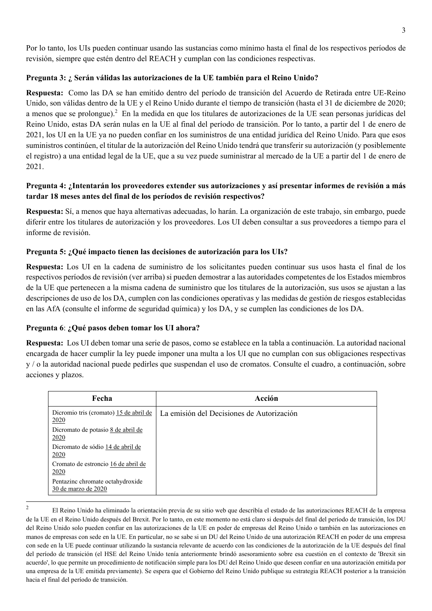Por lo tanto, los UIs pueden continuar usando las sustancias como mínimo hasta el final de los respectivos períodos de revisión, siempre que estén dentro del REACH y cumplan con las condiciones respectivas.

#### **Pregunta 3: ¿ Serán válidas las autorizaciones de la UE también para el Reino Unido?**

**Respuesta:** Como las DA se han emitido dentro del período de transición del Acuerdo de Retirada entre UE-Reino Unido, son válidas dentro de la UE y el Reino Unido durante el tiempo de transición (hasta el 31 de diciembre de 2020; a menos que se prolongue).<sup>2</sup> En la medida en que los titulares de autorizaciones de la UE sean personas jurídicas del Reino Unido, estas DA serán nulas en la UE al final del período de transición. Por lo tanto, a partir del 1 de enero de 2021, los UI en la UE ya no pueden confiar en los suministros de una entidad jurídica del Reino Unido. Para que esos suministros continúen, el titular de la autorización del Reino Unido tendrá que transferir su autorización (y posiblemente el registro) a una entidad legal de la UE, que a su vez puede suministrar al mercado de la UE a partir del 1 de enero de 2021.

## **Pregunta 4: ¿Intentarán los proveedores extender sus autorizaciones y así presentar informes de revisión a más tardar 18 meses antes del final de los períodos de revisión respectivos?**

**Respuesta:** Sí, a menos que haya alternativas adecuadas, lo harán. La organización de este trabajo, sin embargo, puede diferir entre los titulares de autorización y los proveedores. Los UI deben consultar a sus proveedores a tiempo para el informe de revisión.

### **Pregunta 5: ¿Qué impacto tienen las decisiones de autorización para los UIs?**

**Respuesta:** Los UI en la cadena de suministro de los solicitantes pueden continuar sus usos hasta el final de los respectivos períodos de revisión (ver arriba) si pueden demostrar a las autoridades competentes de los Estados miembros de la UE que pertenecen a la misma cadena de suministro que los titulares de la autorización, sus usos se ajustan a las descripciones de uso de los DA, cumplen con las condiciones operativas y las medidas de gestión de riesgos establecidas en las AfA (consulte el informe de seguridad química) y los DA, y se cumplen las condiciones de los DA.

#### **Pregunta 6**: **¿Qué pasos deben tomar los UI ahora?**

**Respuesta:** Los UI deben tomar una serie de pasos, como se establece en la tabla a continuación. La autoridad nacional encargada de hacer cumplir la ley puede imponer una multa a los UI que no cumplan con sus obligaciones respectivas y / o la autoridad nacional puede pedirles que suspendan el uso de cromatos. Consulte el cuadro, a continuación, sobre acciones y plazos.

| Fecha                                                   | Acción                                    |
|---------------------------------------------------------|-------------------------------------------|
| Dicromio tris (cromato) 15 de abril de<br>2020          | La emisión del Decisiones de Autorización |
| Dicromato de potasio 8 de abril de<br>2020              |                                           |
| Dicromato de sódio 14 de abril de<br>2020               |                                           |
| Cromato de estroncio 16 de abril de<br>2020             |                                           |
| Pentazinc chromate octahydroxide<br>30 de marzo de 2020 |                                           |

 $\overline{\phantom{a}}$ 

<sup>2</sup> El Reino Unido ha eliminado la orientación previa de su sitio web que describía el estado de las autorizaciones REACH de la empresa de la UE en el Reino Unido después del Brexit. Por lo tanto, en este momento no está claro si después del final del período de transición, los DU del Reino Unido solo pueden confiar en las autorizaciones de la UE en poder de empresas del Reino Unido o también en las autorizaciones en manos de empresas con sede en la UE. En particular, no se sabe si un DU del Reino Unido de una autorización REACH en poder de una empresa con sede en la UE puede continuar utilizando la sustancia relevante de acuerdo con las condiciones de la autorización de la UE después del final del período de transición (el HSE del Reino Unido tenía anteriormente brindó asesoramiento sobre esa cuestión en el contexto de 'Brexit sin acuerdo', lo que permite un procedimiento de notificación simple para los DU del Reino Unido que deseen confiar en una autorización emitida por una empresa de la UE emitida previamente). Se espera que el Gobierno del Reino Unido publique su estrategia REACH posterior a la transición hacia el final del período de transición.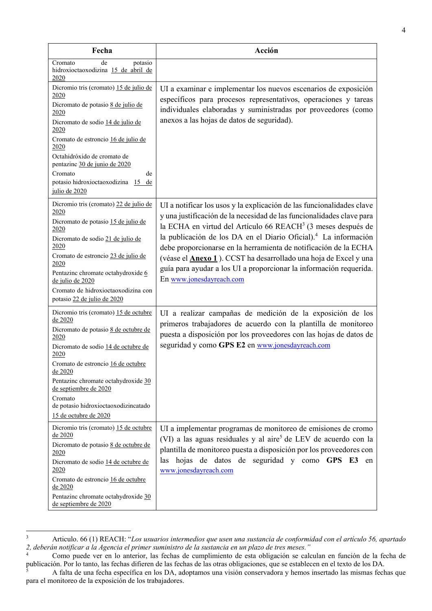| Fecha                                                                                                                                                                                                                                                                                                                                        | Acción                                                                                                                                                                                                                                                                                                                                                                                                                                                                                                                                                      |
|----------------------------------------------------------------------------------------------------------------------------------------------------------------------------------------------------------------------------------------------------------------------------------------------------------------------------------------------|-------------------------------------------------------------------------------------------------------------------------------------------------------------------------------------------------------------------------------------------------------------------------------------------------------------------------------------------------------------------------------------------------------------------------------------------------------------------------------------------------------------------------------------------------------------|
| de<br>potasio<br>Cromato<br>hidroxioctaoxodizina 15 de abril de<br>2020                                                                                                                                                                                                                                                                      |                                                                                                                                                                                                                                                                                                                                                                                                                                                                                                                                                             |
| Dicromio tris (cromato) 15 de julio de<br>2020<br>Dicromato de potasio 8 de julio de<br>2020<br>Dicromato de sodio 14 de julio de<br><u>2020</u><br>Cromato de estroncio 16 de julio de<br>2020<br>Octahidróxido de cromato de<br>pentazinc 30 de junio de 2020<br>Cromato<br>de<br>potasio hidroxioctaoxodizina 15 de                       | UI a examinar e implementar los nuevos escenarios de exposición<br>específicos para procesos representativos, operaciones y tareas<br>individuales elaboradas y suministradas por proveedores (como<br>anexos a las hojas de datos de seguridad).                                                                                                                                                                                                                                                                                                           |
| julio de 2020<br>Dicromio tris (cromato) 22 de julio de<br>2020<br>Dicromato de potasio 15 de julio de<br>2020<br>Dicromato de sodio 21 de julio de<br>2020<br>Cromato de estroncio 23 de julio de<br>2020<br>Pentazinc chromate octahydroxide 6<br>de julio de 2020<br>Cromato de hidroxioctaoxodizina con<br>potasio 22 de julio de 2020   | UI a notificar los usos y la explicación de las funcionalidades clave<br>y una justificación de la necesidad de las funcionalidades clave para<br>la ECHA en virtud del Artículo 66 REACH <sup>3</sup> (3 meses después de<br>la publicación de los DA en el Diario Oficial). <sup>4</sup> La información<br>debe proporcionarse en la herramienta de notificación de la ECHA<br>(véase el <b>Anexo 1</b> ). CCST ha desarrollado una hoja de Excel y una<br>guía para ayudar a los UI a proporcionar la información requerida.<br>En www.jonesdayreach.com |
| Dicromio tris (cromato) 15 de octubre<br>de 2020<br>Dicromato de potasio 8 de octubre de<br>2020<br>Dicromato de sodio 14 de octubre de<br>2020<br>Cromato de estroncio 16 de octubre<br>de 2020<br>Pentazinc chromate octahydroxide 30<br>de septiembre de 2020<br>Cromato<br>de potasio hidroxioctaoxodizincatado<br>15 de octubre de 2020 | UI a realizar campañas de medición de la exposición de los<br>primeros trabajadores de acuerdo con la plantilla de monitoreo<br>puesta a disposición por los proveedores con las hojas de datos de<br>seguridad y como GPS E2 en www.jonesdayreach.com                                                                                                                                                                                                                                                                                                      |
| Dicromio tris (cromato) 15 de octubre<br>de 2020<br>Dicromato de potasio 8 de octubre de<br>2020<br>Dicromato de sodio 14 de octubre de<br>2020<br>Cromato de estroncio 16 de octubre<br>de 2020<br>Pentazinc chromate octahydroxide 30<br>de septiembre de 2020                                                                             | UI a implementar programas de monitoreo de emisiones de cromo<br>(VI) a las aguas residuales y al aire <sup>5</sup> de LEV de acuerdo con la<br>plantilla de monitoreo puesta a disposición por los proveedores con<br>las hojas de datos de seguridad y como GPS E3 en<br>www.jonesdayreach.com                                                                                                                                                                                                                                                            |

<sup>3</sup> Articulo. 66 (1) REACH: "*Los usuarios intermedios que usen una sustancia de conformidad con el artículo 56, apartado 2, deberán notificar a la Agencia el primer suministro de la sustancia en un plazo de tres meses."*

1

<sup>4</sup> Como puede ver en lo anterior, las fechas de cumplimiento de esta obligación se calculan en función de la fecha de publicación. Por lo tanto, las fechas difieren de las fechas de las otras obligaciones, que se establecen en el texto de los DA. 5

A falta de una fecha específica en los DA, adoptamos una visión conservadora y hemos insertado las mismas fechas que para el monitoreo de la exposición de los trabajadores.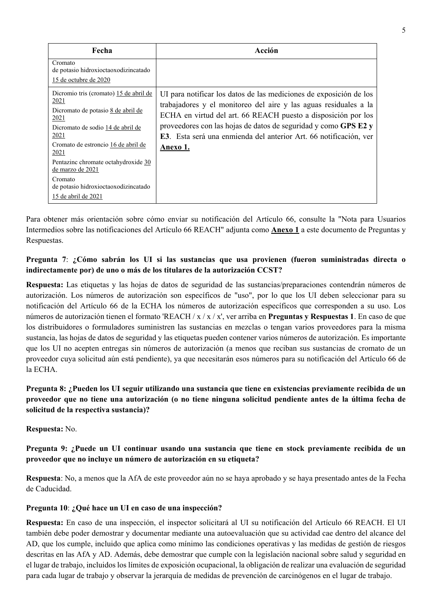| Fecha                                                                                                                                                                                                                                                                                                                         | Acción                                                                                                                                                                                                                                                                                                                                                      |
|-------------------------------------------------------------------------------------------------------------------------------------------------------------------------------------------------------------------------------------------------------------------------------------------------------------------------------|-------------------------------------------------------------------------------------------------------------------------------------------------------------------------------------------------------------------------------------------------------------------------------------------------------------------------------------------------------------|
| Cromato<br>de potasio hidroxioctaoxodizincatado<br>15 de octubre de 2020                                                                                                                                                                                                                                                      |                                                                                                                                                                                                                                                                                                                                                             |
| Dicromio tris (cromato) 15 de abril de<br>2021<br>Dicromato de potasio 8 de abril de<br>2021<br>Dicromato de sodio 14 de abril de<br>2021<br>Cromato de estroncio 16 de abril de<br>2021<br>Pentazinc chromate octahydroxide 30<br>de marzo de 2021<br>Cromato<br>de potasio hidroxioctaoxodizincatado<br>15 de abril de 2021 | UI para notificar los datos de las mediciones de exposición de los<br>trabajadores y el monitoreo del aire y las aguas residuales a la<br>ECHA en virtud del art. 66 REACH puesto a disposición por los<br>proveedores con las hojas de datos de seguridad y como GPS E2 y<br>E3. Esta será una enmienda del anterior Art. 66 notificación, ver<br>Anexo 1. |

Para obtener más orientación sobre cómo enviar su notificación del Artículo 66, consulte la "Nota para Usuarios Intermedios sobre las notificaciones del Artículo 66 REACH" adjunta como **Anexo 1** a este documento de Preguntas y Respuestas.

## **Pregunta 7**: **¿Cómo sabrán los UI si las sustancias que usa provienen (fueron suministradas directa o indirectamente por) de uno o más de los titulares de la autorización CCST?**

**Respuesta:** Las etiquetas y las hojas de datos de seguridad de las sustancias/preparaciones contendrán números de autorización. Los números de autorización son específicos de "uso", por lo que los UI deben seleccionar para su notificación del Artículo 66 de la ECHA los números de autorización específicos que corresponden a su uso. Los números de autorización tienen el formato 'REACH / x / x / x', ver arriba en **Preguntas y Respuestas 1**. En caso de que los distribuidores o formuladores suministren las sustancias en mezclas o tengan varios proveedores para la misma sustancia, las hojas de datos de seguridad y las etiquetas pueden contener varios números de autorización. Es importante que los UI no acepten entregas sin números de autorización (a menos que reciban sus sustancias de cromato de un proveedor cuya solicitud aún está pendiente), ya que necesitarán esos números para su notificación del Artículo 66 de la ECHA.

## **Pregunta 8: ¿Pueden los UI seguir utilizando una sustancia que tiene en existencias previamente recibida de un proveedor que no tiene una autorización (o no tiene ninguna solicitud pendiente antes de la última fecha de solicitud de la respectiva sustancia)?**

**Respuesta:** No.

## **Pregunta 9: ¿Puede un UI continuar usando una sustancia que tiene en stock previamente recibida de un proveedor que no incluye un número de autorización en su etiqueta?**

**Respuesta**: No, a menos que la AfA de este proveedor aún no se haya aprobado y se haya presentado antes de la Fecha de Caducidad.

# **Pregunta 10**: **¿Qué hace un UI en caso de una inspección?**

**Respuesta:** En caso de una inspección, el inspector solicitará al UI su notificación del Artículo 66 REACH. El UI también debe poder demostrar y documentar mediante una autoevaluación que su actividad cae dentro del alcance del AD, que los cumple, incluido que aplica como mínimo las condiciones operativas y las medidas de gestión de riesgos descritas en las AfA y AD. Además, debe demostrar que cumple con la legislación nacional sobre salud y seguridad en el lugar de trabajo, incluidos los límites de exposición ocupacional, la obligación de realizar una evaluación de seguridad para cada lugar de trabajo y observar la jerarquía de medidas de prevención de carcinógenos en el lugar de trabajo.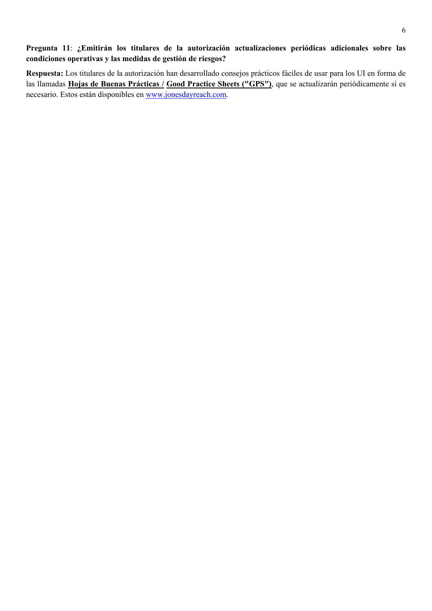# **Pregunta 11**: **¿Emitirán los titulares de la autorización actualizaciones periódicas adicionales sobre las condiciones operativas y las medidas de gestión de riesgos?**

**Respuesta:** Los titulares de la autorización han desarrollado consejos prácticos fáciles de usar para los UI en forma de las llamadas **Hojas de Buenas Prácticas / Good Practice Sheets ("GPS")**, que se actualizarán periódicamente si es necesario. Estos están disponibles en www.jonesdayreach.com.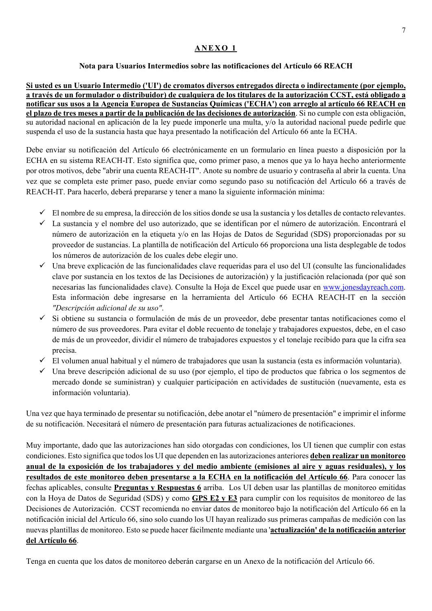#### **ANEXO 1**

#### **Nota para Usuarios Intermedios sobre las notificaciones del Artículo 66 REACH**

**Si usted es un Usuario Intermedio ('UI') de cromatos diversos entregados directa o indirectamente (por ejemplo, a través de un formulador o distribuidor) de cualquiera de los titulares de la autorización CCST, está obligado a notificar sus usos a la Agencia Europea de Sustancias Químicas ('ECHA') con arreglo al artículo 66 REACH en el plazo de tres meses a partir de la publicación de las decisiones de autorización**. Si no cumple con esta obligación, su autoridad nacional en aplicación de la ley puede imponerle una multa, y/o la autoridad nacional puede pedirle que suspenda el uso de la sustancia hasta que haya presentado la notificación del Artículo 66 ante la ECHA.

Debe enviar su notificación del Artículo 66 electrónicamente en un formulario en línea puesto a disposición por la ECHA en su sistema REACH-IT. Esto significa que, como primer paso, a menos que ya lo haya hecho anteriormente por otros motivos, debe "abrir una cuenta REACH-IT". Anote su nombre de usuario y contraseña al abrir la cuenta. Una vez que se completa este primer paso, puede enviar como segundo paso su notificación del Artículo 66 a través de REACH-IT. Para hacerlo, deberá prepararse y tener a mano la siguiente información mínima:

- $\checkmark$  El nombre de su empresa, la dirección de los sitios donde se usa la sustancia y los detalles de contacto relevantes.
- La sustancia y el nombre del uso autorizado, que se identifican por el número de autorización. Encontrará el número de autorización en la etiqueta y/o en las Hojas de Datos de Seguridad (SDS) proporcionadas por su proveedor de sustancias. La plantilla de notificación del Artículo 66 proporciona una lista desplegable de todos los números de autorización de los cuales debe elegir uno.
- $\checkmark$  Una breve explicación de las funcionalidades clave requeridas para el uso del UI (consulte las funcionalidades clave por sustancia en los textos de las Decisiones de autorización) y la justificación relacionada (por qué son necesarias las funcionalidades clave). Consulte la Hoja de Excel que puede usar en www.jonesdayreach.com. Esta información debe ingresarse en la herramienta del Artículo 66 ECHA REACH-IT en la sección *"Descripción adicional de su uso"*.
- Si obtiene su sustancia o formulación de más de un proveedor, debe presentar tantas notificaciones como el número de sus proveedores. Para evitar el doble recuento de tonelaje y trabajadores expuestos, debe, en el caso de más de un proveedor, dividir el número de trabajadores expuestos y el tonelaje recibido para que la cifra sea precisa.
- El volumen anual habitual y el número de trabajadores que usan la sustancia (esta es información voluntaria).
- $\checkmark$  Una breve descripción adicional de su uso (por ejemplo, el tipo de productos que fabrica o los segmentos de mercado donde se suministran) y cualquier participación en actividades de sustitución (nuevamente, esta es información voluntaria).

Una vez que haya terminado de presentar su notificación, debe anotar el "número de presentación" e imprimir el informe de su notificación. Necesitará el número de presentación para futuras actualizaciones de notificaciones.

Muy importante, dado que las autorizaciones han sido otorgadas con condiciones, los UI tienen que cumplir con estas condiciones. Esto significa que todos los UI que dependen en las autorizaciones anteriores **deben realizar un monitoreo anual de la exposición de los trabajadores y del medio ambiente (emisiones al aire y aguas residuales), y los resultados de este monitoreo deben presentarse a la ECHA en la notificación del Artículo 66**. Para conocer las fechas aplicables, consulte **Preguntas y Respuestas 6** arriba. Los UI deben usar las plantillas de monitoreo emitidas con la Hoya de Datos de Seguridad (SDS) y como **GPS E2 y E3** para cumplir con los requisitos de monitoreo de las Decisiones de Autorización. CCST recomienda no enviar datos de monitoreo bajo la notificación del Artículo 66 en la notificación inicial del Artículo 66, sino solo cuando los UI hayan realizado sus primeras campañas de medición con las nuevas plantillas de monitoreo. Esto se puede hacer fácilmente mediante una '**actualización' de la notificación anterior del Artículo 66**.

Tenga en cuenta que los datos de monitoreo deberán cargarse en un Anexo de la notificación del Artículo 66.